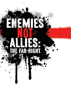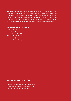The One Law for All Campaign was launched on 10 December 2008, International Human Rights Day, to call on the UK Government to recognise that Sharia and religious courts are arbitrary and discriminatory against women and children in particular and that citizenship and human rights are non-negotiable. The Campaign aims to end Sharia and all religious courts on the basis that they work against, and not for, equality and human rights.

*For further information contact:* One Law for All BM Box 2387 London WC1N 3XX, UK Tel: +44 (0) 7719166731 onelawforall@gmail.com www.onelawforall.org.uk

#### *Enemies not Allies: The Far-Right*

Published by One Law for All, August 2011 © One Law for All 2011 – All rights reserved ISBN number: 978-0-9566054-3-6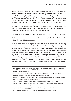*'Perhaps one day, once by being rather more subtle we've got ourselves in a position where we control the British broadcasting media […] then perhaps one day the British people might change their mind and say, "Yes, every last one must go." Perhaps they will one day. But if you offer that as your sole aim to start with, you're gonna get absolutely nowhere. So, instead of talking about racial purity, we talk about identity.'* 1 - Nick Griffin, British National Party (BNP) Leader

*'We don't care whether you arrived here yesterday; you are welcome to protect our Christian culture and our way of life. We will not tolerate it anymore.'* 2 - Tommy Robinson, English Defence League (EDL) leader

*Islamism 'is the threat that can bring us to power.'* 3 - Nick Griffin, BNP Leader

*'If them barriers break one day and our lads get through they'll murder them all.' 4*  - Guramit Singh, EDL Spokesperson

*'A permanent stop to immigration from [M]uslim countries and a temporary stop from other countries until there has been set up an independent inquiry to determine when the Danes are a minority in their own country […] Repatriation of disaffected [M]uslim and other immigrants and all immigrant criminals who have proven that they are unsuitable and the removal from such people of any vested Danish citizenship. […] Those already granted citizenship are to be*  examined very carefully with a view to withdrawing citizenship if they have *proved unworthy of it because of criminal activities, promoting Sharia law and undermining the Danish constitution.' 5 - Stop Islamisation of Europe platform* 

- 3 Copsey, N., 'Contemporary British Fascism: The British National Party And The Quest For Legitimacy (Second Edition)', Palgrave MacMillan, 2008, p.162
- 4 Taylor, M., 'English Defence League: Inside the violent world of Britain's new far right', The Guardian, 28th May 2010, available here: http://www.guardian.co.uk/uk/2010/may/28/englishdefence-league-guardian-investigation
- 5 'SIOE is now also a political party', SIOE website, 7th March 2010, published here: http:// sioe.wordpress.com/2010/03/07/sioe-is-now-also-a-political-party/, available here: http:// callofthepatriot.blogspot.com/2010/03/sioe-is-now-political-party-in-europe.html

<sup>1</sup> BBC Panorama, 'Under The Skin', 25th November 2001, transcript available at: http://news.bbc. co.uk/1/hi/programmes/panorama/1588893.stm; video clip available here: http://www.youtube. com/watch?v=bfwdNAT8sWU

<sup>2</sup> Tommy Robinson speech at Leicester EDL Rally, October 2010, video available here: http://www. youtube.com/watch?v=IhDo5TCcaVc&feature=player\_embedded#!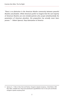*'There is no distinction in the American Muslim community between peaceful Muslims and jihadists. While Americans prefer to imagine that the vast majority of American Muslims are civic-minded patriots who accept wholeheartedly the parameters of American pluralism, this proposition has actually never been proven.' 6 - Robert Spencer, Stop Islamization of America*

<sup>6</sup> Spencer, R., '2 Men in New York and Florida, Charged in Qaeda Conspiracy', Jihad Watch, 30th May 2005, available here: http://www.jihadwatch.org/2005/05/2-men-in-new-york-and-floridacharged-in-qaeda-conspiracy.html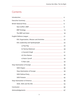## **Contents**

| a) Paul Ray 25                            |  |
|-------------------------------------------|--|
|                                           |  |
|                                           |  |
|                                           |  |
| e) Kevin Carroll 2008 2014 2020 2020 2034 |  |
|                                           |  |
|                                           |  |
|                                           |  |
|                                           |  |
|                                           |  |
|                                           |  |
|                                           |  |
|                                           |  |
| Conclusion 60                             |  |
|                                           |  |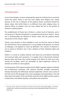## Introduction

In just a few decades, we have witnessed the rapid rise of Sharia law in countries across the world. Sharia is now the most widely used religious law, mainly because of the rise in influence of the political Islamic movement backed by Islamic states. And whilst Sharia is no different from other religious laws, its adverse effects on people's lives are more widely felt due to the growth of Islamism's political power.

The establishment of Sharia law in Britain is a direct result of Islamism, and is not because of 'Muslim immigration' or people becoming more 'devout'. Sharia law is fundamentally the demand of Islamic states and the political Islamic movement to limit citizens' rights.

Clearly, many Muslims or those labelled as such are the first victims of Sharia law and Islamism and are opposed to it, as are people of all opinions. To criticise an ideology is not bigoted or racist, by definition. The criticism of Islamism is not an attack on Muslims, but in fact a defence of their individual rights and freedoms.

Whilst it is crucial to combat Islamism and Sharia law and defend citizenship and universal rights and secularism, it is equally vital to discriminate between genuine allies and those who would arrogate such efforts for their own ends, namely the far-Right, which has attempted to hijack legitimate criticism of Islamism to further its racist agenda.

It is the purpose of this report to expose the far-Right's agenda, explore it methods and fundamental similarities with Islamism (another far-Right movement), thereby illustrating the differences between legitimate criticism such as that of the One Law for All campaign from racist campaigns and organisations. This will help inform the public of the real threats faced by the far-Right and the need to combat them and defend equality, universalism and secularism.

<sup>7</sup> One Law for All, 'Sharia Law in Britain: A Threat to One Law for All and Equal Rights', June 2010, available here: http://www.onelawforall.org.uk/wp-content/uploads/New-Report-Sharia-Law-in-Britain.pdf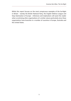Whilst this report focuses on the most conspicuous examples of the far-Right in Britain - namely the British National Party, the English Defence League and Stop Islamisation of Europe - inferences and implications will assist the reader when scrutinising other organisations of a similar nature particularly since these organisations have branches in a number of countries in Europe, Australia and the United States.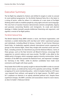# Executive Summary

The far-Right has adapted its rhetoric and shifted its targets in order to conceal its racist political programme. For the British National Party this is the latest in a string of tactics, while for others it is indicative of a new strain of far-Right thinking which seeks to mobilise people by using rights and anti-racist language. This new form of reaction however demonstrates extreme xenophobia, bigotry and paranoia concerning Muslims and immigrants. Its crude and alarmist ideology is hidden beneath pseudo-intellectual theorising and argument, and signifies a revival of far-Right politics.

### The British National Party

The British National Party (BNP) remains a racist, neo-fascist organisation, and maintains a cordial relationship with neo-Nazi and 'white' supremacist groups and individuals, including Blood & Honour, Combat 18 and former Klansman David Duke. Its leadership regularly attends international events organised by groups of the extreme Right, where they mingle with assorted racists and neo-Nazis, including activists for Stormfront.org and the National Alliance. Some of these groups, such as the Nazi terrorist cult Blood & Honour, encourage their supporters to commit violence and mass-murder. The BNP is also allied to the Jobbik party in Hungary, which campaigns against minority communities. Senior members of the BNP have praised the National Front, and expressed 'nostalgia' for 'Germany in the 1930s', while its election candidates have made racist comments and fought with Asian youths.

Party leader Nick Griffin has openly sought to rebrand the BNP in order to conceal its fascist nature, as evidenced by many of his speeches and writings. The BNP's scrapping of its racist membership policy - which its leaders hailed as a P.R. boon -was imposed from without, and agreed to for legal reasons. The BNP's post-9/11 emphasis on Islamists is an openly admitted political trick. Despite these superficial changes, the BNP's activities and associations reveal its racist nature, as does its leader's Holocaust denial.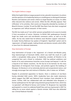### The English Defence League

While the English Defence League purports to be a pluralist movement, its actions and the opinions of its leadership betray an unwillingness to distinguish between Muslims and Islamists and reveal a desire to target Muslims en masse. Its rallies often descend into violence and arrests. While the EDL officially opposes 'Nazi infiltration' of its activities, their events are frequently attended by members of Blood & Honour, Combat 18 and the BNP. Neo-Nazis have also been recognised as organisers and 'official stewards' of their events.

The EDL has made use of 'non-white' persons sympathetic to its cause to insulate it from accusations of racism. However, its British Sikh spokesperson Guramit Singh has made racist and anti-Muslim comments online, as well as at EDL rallies. He has also stated that he believes most Muslims support 'extremism'. Its leader Tommy Robinson has spoken of England's 'Apartheid' system and its 'oppression' of English people, making threats and abusive remarks which differ in tone from his televised statements.

### Stop Islamisation of Europe

Stop Islamisation of Europe is the 'expansion' of a Danish anti-Muslim party, Stop Islamiseringen af Danmark (SIAD), which was itself the result of a split within a xenophobic lobby group. Its leadership considers all Muslims to be congenital liars and a threat to civilisation. SIOE has political ambitions and boasts of its semi-autonomous branches across Europe and beyond. It calls for a boycott of all 'Islamic countries', for the Qur'an to be banned, for the mass deportation of immigrants from Europe, and protests against the building of Mosques. Its literature is of an extremely alarmist and conspiratorial nature, and strongly encourages fear and mistrust of Muslims, who it states are 'all Nazis'.

Despite its proclaimed opposition to Nazism, there is evidence of neo-Nazis having attended SIAD events. SIOE's leadership have also made statements which suggest that BNP and National Front members have attended its UK events. Further, SIOE has collaborated with and defended Julius Borgesen, a former spokesperson for the right-wing extremist group Danske Front, which has 'co-operated' with Blood & Honour and Combat 18. Borgessen has reportedly participated in a march to celebrate Rudolf Hess and was imprisoned in 2007 for calling for an arson attack against a Danish minister. SIOE have also defended war criminal Radovan Karadzic.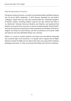#### Stop the Islamization of America

The group's American branch, currently run by Pamela Geller and Robert Spencer, was set up by SIOE's leadership. In 2010 Spencer defended his and Geller's 'colleague' Joseph John Jay, who had recommended the 'wholesale slaughter' of Muslim civilians, including children. Spencer has also written that there is 'no distinction' between American Muslims and Jihadists, and explained that Muslims must prove their innocence or else be considered guilty. Pamela Geller's web log has featured conspiratorial articles regarding the President of America's religion, his family, his sexual history, and the circumstances of his birth. Geller and Spencer have also defended Serbian war criminals.

Whilst it is crucial to combat Islamism and Sharia law and defend citizenship and universal rights and secularism, it is equally vital to oppose the far-Right. Islamism and the Far-Right are two sides of the same coin using similar methods, ideologies and tactics in order to promote their bleak and inhuman worldview.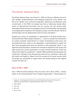## The British National Party

The British National Party was formed in 1982 by infamous Hitlerite and racist John Tyndall.<sup>1</sup> Tyndall believed in the biological superiority of the 'British' race due to its 'Nordic' roots, and that immigration, democracy and liberalism were a Jewish plot. In the 1960's his analysis was that as '*democracy tamely allows droves of dark-skinned sub-racials into our country, the Jew cleverly takes advantage of their presence to propagate the lie of racial equality, thus gradually encouraging their acceptance into European society, with the ultimate results of intermarriage and race-degeneration that he knows will follow*'.2

Tyndall was in favour of 'repatriation' or deportation of 'all those of alien race'. He lamented that 'liberal dogma forbids us […] even to consider the introduction of a policy of genetic improvement as a means of breeding out the worst, and procreating the best, strains in our population', and proclaimed he would 'not shirk from proposing that there are elements in the population which, if not deprived of life themselves, should most certainly be deprived of the faculty and right to give life to future generations in whom criminal tendencies of the very lowest kind might be reproduced'.3 Tyndall's BNP prohibited homosexuality and 'mixed-race' marriage. It also desired party control of art, education, culture and the media, and hoped to 'depart from the concept of the career woman [and] encourage our womenfolk to regard home and family-making as the highest vocation for their sex'.<sup>5</sup>

## Nick Griffin's BNP

Since 1999 the British National Party has been led by Nick Griffin, a former leader of the Young National Front's Student Organisation.<sup>6</sup> Shortly before his

- 4 Ibid. p.87
- 5 Ibid. p.33-34

<sup>1</sup> Copsey, N., 'Contemporary British Fascism: The British National Party And The Quest For Legitimacy (Second Edition)', Palgrave MacMillan, 2008, p.10, 14, 88, 89

<sup>2</sup> Ibid, p.88-89

<sup>3</sup> Ibid. p.90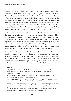ascension Griffin argued that voters sought a 'strong, disciplined organisation with the ability to back up its slogan 'Defend Rights For Whites' with 'welldirected boots and fists'.6 In his writings, Griffin has warned of 'Jewish influence' in and 'control of' mass media,<sup>7</sup> has referred to the Holocaust as the 'Holohoax', and clarified his position by declaring: '*I am well aware that the orthodox opinion is that 6 million Jews were gassed and cremated and turned into lampshades. Orthodox opinion also once held that the Earth was flat... I have reached the conclusion that the "extermination" tale is a mixture of Allied wartime propaganda, extremely profitable lie, and latter witch-hysteria*'.8

Griffin's BNP is allied to several European far-Right organisations including the Jobbik Party in Hungary, which campaigns against minority communities.<sup>9</sup> In 2006 Nick Griffin attended a conference organised by the racist American Renaissance magazine, along with BNP candidate Mark Collett and Leeds BNP organiser Martin Reynolds. The conference was also attended by David Duke, a former Grand Wizard of the Knights of the Ku Klux Klan, and many notable racists, including the founder of the neo-Nazi online forum Stormfront.org, and former members of the American neo-Nazi group the National Alliance.10

British National Party councillor Bob Bailey complained in a March 2010 public meeting about the building of what he called 'Nigerian churches' in the borough of Barking, explaining that 'we don't want the amount of black children' and that 'these people eat off the ground'.11 While campaigning in May of the same year he asked three Asian teenagers how many 'are robbers'. When the boys confronted him, he and a colleague punched and kicked them until it was

- 8 BBC News website profile, available here: http://news.bbc.co.uk/hi/english/static/in\_depth/ programmes/2001/bnp\_special/the\_leader/beliefs.stm
- 9 LeBor, A., 'Jobbik: Meet the BNP's Fascist Friends in Hungary', The Times, 9th June 2009, available here: http://www.timesonline.co.uk/tol/news/politics/article6457752.ece
- 10 Williams, D., 'BNP Leader Embraced By Top US Nazis', Searchlight Magazine, April 2006, available here: http://www.searchlightmagazine.com/index.php?link=template&story=162
- 11 Lydall, R. and Bernard, J., '"Racist" London BNP Chief Threatened With Suspension', London Evening Standard, 26th March 2010, available here: http://www.thisislondon.co.uk/standard/ article-23819349-racist-london-bnp-chief-threatened-with-suspension.do?

<sup>6</sup> Ibid. p.71

<sup>7</sup> Ibid. p.71-72. An extract from 'Who Are The Mindbenders?' can be found here: http://4. bp.blogspot.com/\_eZy7ckbzk28/R4JXvrYNe6I/AAAAAAAAADo/gkyiuflgdFk/s1600-h/ GriffinMindBenders2.jpg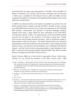announced that the police were approaching.<sup>12</sup> The BNP's 2010 candidate for Mayor of Lewisham, Tess Culnane, who has also contested seats for the party in 2004, was a candidate for the National Front in 2007 and 2008, and has supported and spoken at meetings of the Naziphile British People's Party, which sells busts of Adolf Hitler<sup>13</sup>

In 2009 it was discovered that racist books are available to purchase from the British National Party's website, and that the BNP's 'YouTube account, namely two official BNP branch accounts and a further two belonging to self- identified BNP members' demonstrate 'key elements of neo-Nazi ideology including: extreme racist views; a deep hatred for Jews; admiration of the Third Reich; and Holocaust denial'. Further, 'the administrators of the official BNP YouTube accounts do not object to the presence of neo-Nazis among their 'friends' [and in some cases] actively promote neo-Nazis', with no disclaimers posted or disassociations made by the party.14 The British National Party also maintains good relations with Covert Undercover Nuisance Tactics, which 'openly promotes extreme racism, anti-Semitism and homophobia and is affiliated with Blood & Honour', and that Covert activists encourage people to make donations to the BNP.15 Covert and similar groups regularly attend the BNP's Red, White and Blue festival, including the event held in January 2010.16

Blood & Honour (B&H) are a Nazi terrorist organisation whose 'armed wing', Combat 18, was formed by members of the BNP's security team.17 B&H

- 13 BNP Facts, 'Are the BNP racist?', available here: http://bnpfacts.wordpress.com/bnp-mayoralcandidate-has-given-speeches-at-meetings-of-pro-hitler-group/
- 14 Standing, E., 'The BNP and the Online Fascist Network', The Centre for Social Cohesion, 2009, p.10, 27
- 15 Ibid. p.37-46
- 16 Standing, E., 'Why Does Nick Griffin Allow Neo-Nazis To Attend The BNP 'Family Festival'?', Harry's Place, 21st January 2010, available here: http://hurryupharry.org/2010/01/21/why-does-nickgriffin-allow-neo-nazis-to-attend-the-bnp-family-festival/
- 17 Copsey, N., 'Contemporary British Fascism: The British National Party And The Quest For Legitimacy (Second Edition)', Palgrave MacMillan, 2008, p.71-72. An extract from 'Who Are The Mindbenders?' can be found here: http://4.bp.blogspot.com/\_eZy7ckbzk28/R4JXvrYNe6I/ AAAAAAAAADo/gkyiuflgdFk/s1600-h/GriffinMindBenders2.jpg

<sup>12</sup> Kelly, T. and Doyle, J., 'BNP Candidate Punches And Kicks Asians After Being Spat At On Campaign Trail', Daily Mail, 6th May 2010, available here: http://www.dailymail.co.uk/news/election/article-1273583/General-Election-2010-BNP-candidate-Bob-Bailey-filmed-fighting-Asian-men-key-battleground-Barking.html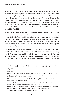recommend violence and mass-murder as part of 'a pan-Aryan movement of White resistance against the oppressive forces of the Zionist Occupation Governments',18 and provide instructions on how individuals and 'cells' should carry this out as well as ways of avoiding capture.19 Despite claims to the contrary, the British National Party has remained friendly with Combat 18 and Blood & Honour. In 2001 Nick Griffin told a Combat 18 organiser that 'we're all on the same side', and has since accepted donations raised by the sale of B&H merchandise. B&H members and supporters have attended BNP events in 2007, 2008, 200920 and 2010.21

In 2004 a television documentary about the British National Party included footage of party founder John Tyndall delivering a speech at a BNP meeting. Tyndall declared of people with dark skin that 'Black magic, witchcraft, voodoo, cannibalism and AIDS. That is what they have given to the world', and closed his remarks by promising that '*Nationalism will come to the fore, nationalism will come to victory in this country, and we will build again a country that is great, strong, proud, free and white*'.22

The documentary saw Tyndall arrested for 'incitement to racial hatred', along with 12 other individuals for various crimes.<sup>23</sup> Also featured in the documentary was BNP candidate and activist Mark Collett, who has been the BNP's Head of Publicity and leader of the Young BNP.<sup>24</sup> Nick Griffin remarked to Channel 4 in 2002 that Collett might one day succeed him as party leader.<sup>25</sup> During the

- 19 Ibid. p.20-23
- 20 Ibid. p.13-14
- 21 Standing, E., 'Why Does Nick Griffin Allow Neo-Nazis To Attend The BNP 'Family Festival'?', Harry's Place, 21st January 2010, available at: http://hurryupharry.org/2010/01/21/why-does-nick-griffinallow-neo-nazis-to-attend-the-bnp-family-festival/
- 22 BBC News website, 'Going Undercover In The BNP', 15th July 2004, available here: http://news. bbc.co.uk/1/hi/magazine/3896213.stm
- 23 Copsey, N., 'Contemporary British Fascism: The British National Party And The Quest For Legitimacy (Second Edition)', Palgrave MacMillan, 2008, p.158
- 24 Standing, E., 'Nazi-Boy Is Hoping To Become An MP', Harry's Place, 27th January 2010, available here: http://hurryupharry.org/2010/01/27/nazi-boy-is-hoping-to-become-an-mp/
- 25 'Dispatches: Young, Nazi and Proud', Channel 4, 4th November 2002

<sup>18</sup> Meleagrou-Hitchens, A. and Standing, E., 'Blood & Honour: Britain's Far-Right Militants', The Centre For Social Cohesion and There Is Nothing British About The BNP, 2010, p.18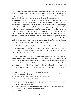BBC programme Collett referred to asylum seekers as 'cockroaches', expounding that 'cockroaches can't help what they do, they just do it, like cats meow and dogs bark, they do it because they are what they are and they'll do what they do' [sic].26 Collett was interviewed for a Channel 4 documentary in which he said of AIDS that 'Blacks, drug abusers and gays have it. So really, I've got no problem with AIDS. In fact I would call it a friendly disease'. During the same programme he expressed 'nostalgia' for 'Germany in the 1930s', comparing it favourably with 'the inner city hell of Britain today', and opined that 'the Jews had given the German people a bit of a whipping and one of the thorns that people felt were in their sides. […] The Jews have been thrown out of every country, including England. There's not a single European country the Jews have not been thrown out of. And let's face it, David, when it happens that many times it's not just persecution. There's no smoke without fire' [sic].<sup>27</sup> Elsewhere Collett has expressed admiration for Ian Stuart Donaldson, frontman of the neo-Nazi band Skrewdriver and founder of Blood & Honour<sup>28</sup>

Mark Collett was fired from the British National Party in April 2010 for attempting to take power via a coup.<sup>29</sup> Collett had allegedly been leaking BNP information to the press. He was arrested for threatening to kill Nick Griffin, as has been confirmed by the party leader.<sup>30</sup>

Lee Barnes was until recently the British National Party's spokesman, website writer, researcher and Legal Director. In 2009, Barnes described demonstrations by the neo-Nazi National Front as 'superb', and offered advice on how the group can best help the cause of 'Nationalism' by organising 'street activism' as a counterpart to the BNP's 'electioneering'. Barnes had previously written that '[t]he BNP have no interest in the National Front or its policies'.31 In December

30 BBC News website, 'BNP Sacks Head Of Publicity Over Death Threats', 5th April 2010, available here: http://news.bbc.co.uk/1/hi/uk\_politics/8603314.stm

<sup>26</sup> BBC News website, 'Going Undercover In The BNP', 15th July 2004, available here: http://news. bbc.co.uk/1/hi/magazine/3896213.stm

<sup>27</sup> 'Dispatches: Young, Nazi and Proud', Channel 4, 4th November 2002

<sup>28</sup> 'Re:Brand, Episode 2- Nazi Boy', UKPlay, 2002

<sup>29</sup> Gabbatt, A. and Taylor, M., 'BNP Official Mark Collett Questioned Over Alleged Threat To Kill Nick Griffin', The Guardian, 4th April 2010, available here: http://www.guardian.co.uk/politics/2010/ apr/04/bnp-mark-collett-nick-griffin

<sup>31</sup> Ibid. p.46-49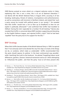2009 Barnes praised an arson attack on a migrant welcome centre in Calais, explaining that 'this is not a crime, this is an act of National Liberation'.<sup>32</sup> Lee Barnes left the British National Party in August 2010, accusing it of law breaking, bankruptcy, threats of violence, incompetence and authoritarianism, as well as connections with terrorism in Northern Ireland, and stated that 'such a party cannot be trusted with political power in our society'.<sup>33</sup> He revealed that Nick Griffin 'would love a riot to flare up [in Bradford] as then he can exploit it politically afterwards<sup>'34</sup> and confirmed that Griffin had travelled to Oldham 'during the riots' especially for a Combat 18 cell meeting.35 Barnes also revealed that Griffin is concerned about BNP members supporting and donating to the English Defence League, and rejected Griffin's claim<sup>36</sup> that he had been 'expelled' from the party due to his support for the EDL.<sup>37</sup>

### BNP Strategy

When Nick Griffin became leader of the British National Party in 1999, he opined that 'if we seriously want to be elected the very first step is to look at the things we do, or condone, which make us unelectable'. Griffin recommended that the party should express its policies 'in the least controversial way possible', while 'teach[ing] the truth to the hardcore'. He advised 'forget[ing] about racial differences, genetics, Zionism, historical revisionism and so on' when attempting to 'influenc[e] the public', and that the party 'must at all times present [the

- 35 Barnes, L. J., 'Nick Griffin, the EDL, Bradford and Combat 18', 21st Century British Nationalism blog, 11th August 2010, available here: http://leejohnbarnes.blogspot.com/2010/08/nick-griffinedl-bradford-and-combat-18.html
- 36 Barnes, L. J., 'The EDL Issue', 21st Century British Nationalism blog, 10th August 2010, available here: http://leejohnbarnes.blogspot.com/2010/08/edl-issue.html
- 37 Barnes, L. J., 'The EDL and Bradford', 21st Century British Nationalism blog, 7th August 2010, available here: http://leejohnbarnes.blogspot.com/2010/08/edl-and-bradford.html

<sup>32</sup> Barnes, L. J., 'The French Rise Up', 21st Century British Nationalism blog, 27th December 2009, available here: http://leejohnbarnes.blogspot.com/2009/12/french-rise-up.html

<sup>33</sup> Standing, E., 'Lee Barnes Resigns, Declares BNP Cannot Be Trusted With Political Power', Harry's Place, 10th August 2010, available here: http://hurryupharry.org/2010/08/10/lee-barnes-resignsdeclares-bnp-cannot-be-trusted-with-political-power/#more-37456

<sup>34</sup> Standing, E., 'The Lee John Barnes Review', Harry's Place, 14th August 2010, available here: http:// hurryupharry.org/2010/08/14/the-lee-john-barnes-review/#more-37628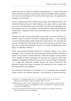electorate] with an image of moderate reasonableness'.<sup>38</sup> In April 2000 Nick Griffin delivered a speech to The American Friends of the BNP, sharing a platform with former Grand Wizard of the Ku Klux Klan David Duke. He explained his strategy to the assembly:

'*There's a difference between selling out your ideas, and selling your ideas. And the British National Party isn't about selling out its ideas, which are your ideas too, but we are determined now to sell them. And that means basically to use the saleable words. As I say, freedom, security, identity, democracy. Nobody can criticise them, nobody can come at you and attack you on those ideas. They are saleable. […]*

'*Perhaps one day, once by being rather more subtle we've got ourselves in a position where we control the British broadcasting media […] then perhaps one day the British people might change their mind and say, 'Yes, every last one must go'. Perhaps they will one day. But if you offer that as your sole aim to start with, you're gonna get absolutely nowhere. So, instead of talking about racial purity, we talk about identity*'.39

Griffin has recently presented himself as a Christian, stating in his 'Easter Message'40 that 'in the past too much emphasis has been placed on the ethnic aspect of our present national dilemma, whilst the longest running feature of our identity has been overlooked: the fact that our country has been held together and guided for millennia by our common, ancient religion: Christianity. [...] I mean the traditional, upright, decent and honest Christianity that defended Europe from Islamic conquest, the Christianity of the Crusades and the Christianity of our forefathers'.

He commends Christianity as preferable to the 'eradicating [of] traditional unique cultures and national identities', 'the promotion of sexual perversion'

<sup>38</sup> Copsey, N., 'Contemporary British Fascism: The British National Party And The Quest For Legitimacy (Second Edition)', Palgrave MacMillan, 2008, p.102-104

<sup>39</sup> BBC Panorama, 'Under The Skin', 25th November 2001, transcript available at: http://news.bbc. co.uk/1/hi/programmes/panorama/1588893.stm, video clip available here: http://www.youtube. com/watch?v=bfwdNAT8sWU

<sup>40</sup> Easter message from BNP chairman hits the mark, Stormfront.org, July 2006, available here: http://www.stormfront.org/forum/t696276/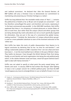and 'political correctness'. He declared that 'after the General Election, all BNP leaflets will carry a Christian Cross to demonstrate our commitment to maintaining and preserving our Christian heritage as a nation'.

Griffin has long believed that 'the inevitable media smear of 'Nazi' […] remains the political kiss of death as far as 98 per cent of people are concerned',<sup>41</sup> and has therefore camouflaged the party's anti-Semitism and racism, expressing it 'in the least controversial way possible'. In the 2005 BNP manifesto, Nick Griffin explained that there is 'no conspiracy of wicked plutocrats or sinister Elders of Zion at work here, [but rather that] the unique cultural and ethnic groups that are being destroyed [by multi-culturalism] are not so much specifically targeted for elimination, they are just in the way of a conscience-free global moneymaking machine'.42 Similarly, the 'destruction' of 'unique cultural ethnic groups' is used as a more palatable substitute to warn of the imminent extinction of the 'white race'.

Nick Griffin has taken this tactic of public disassociation from Nazism to its logical conclusion by declaring that he has 'no time for anti-Semites'43, and telling a nationwide audience on BBC's Question Time '*I am not a Nazi and never have been […] I am the most loathed man in Britain in the eyes of Britain's Nazis. They loathe me because I have brought the British National Party from being, frankly, an anti-Semitic and racist organisation into being the only political party which, in the clashes between Israel and Gaza, stood full square behind Israel's right to deal with Hamas terrorists*'.44

Griffin was not asked to specify at what point the party ceased being 'anti-Semitic and racist'. In January 2009 he had written that though '[t]he fighting in Gaza is not a proper concern for a British political party' and that the BNP 'would oppose any move to entangle Britain in war on behalf of Israel, it is in our

<sup>41</sup> Copsey, N., 'Contemporary British Fascism: The British National Party And The Quest For Legitimacy (Second Edition)', Palgrave MacMillan, 2008, p.111

<sup>42</sup> Ibid. p.159

<sup>43</sup> Standing, E., 'One the British National Party's 'Pro-Israel' Turn', Jewcy, 24th February 2009, available at: http://www.jewcy.com/post/british\_national\_partys\_proisrael\_turn#

<sup>44</sup> Anon, 'BNP on BBC's Question Time: key quotes', The Telegraph, 23rd October 2009, available here: http://www.telegraph.co.uk/news/newstopics/politics/6411261/BNP-on-BBCs-Question-Timekey-quotes.html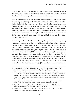clear national interest that it should survive'.45 Given his support for Ayatollah Khomeini, Louis Farrakhan and Hamas in the 1980's<sup>46</sup> and a lifetime of anti-Semitism, Nick Griffin's proclamations are tactical in nature.

Elsewhere Griffin offers an explanation by reflecting that 'in the United States, in Germany, and among small theoretical groups in most European countries (Britain included), there are a fair few sincere people who are quite convinced that we shouldn't be nasty to Islam and that 'the real enemy is the Jew'. Griffin argued in March 2006 that 'the proper enemy to any political movement isn't necessarily the most evil and the worst […] The proper enemy is the one we can most easily defeat'.47 Following the 2001 terrorist attacks in America, the BNP switched emphasis from asylum seekers to Muslims and Islamists, usually conflating the three.<sup>48</sup>

In February 2010 the British National Party changed its membership policy. Previously, membership of the BNP had been restricted to 'being 'Indigenous Caucasian' and defined 'ethnic groups emanating from that race'. The party has attempted to use this alteration to appear more respectable. However, the abandonment of this racist policy was imposed from without. Griffin explained this at the time, telling the BBC that the party 'had to do it for legal reasons' and that they 'recognise the legal reality, so we've done it, so now for one thing they can't call us racist anymore'.49 The possible tactical advantage this change may provide has been discussed openly by a senior member of the party, who boasted that 'today marks a historic moment in the evolution of British Nationalism': 'For the general public, […] the constant scream of 'racists' and

- 47 Standing, E., 'One the British National Party's 'Pro-Israel' Turn', Jewcy, 24th February 2009, available here: http://www.jewcy.com/post/british\_national\_partys\_proisrael\_turn
- 48 Copsey, N., 'Contemporary British Fascism: The British National Party And The Quest For Legitimacy (Second Edition)', Palgrave MacMillan, 2008, p.135
- 49 BBC News website, 'BNP Votes To Ditch Whites Only Membership Rule', 14th February 2010, available here: http://news.bbc.co.uk/1/hi/8514736.stm

<sup>45</sup> Standing, E., 'One the British National Party's 'Pro-Israel' Turn', Jewcy, 24th February 2009, available here: http://www.jewcy.com/post/british\_national\_partys\_proisrael\_turn

<sup>46</sup> Rich, D., 'Political Soldiers and the New Man - Part One, Two and Three', Community Security Trust blog, 26th, 27th and 28th April 2010, available here: http://thecst.org.uk/blog/?p=1368, http:// thecst.org.uk/blog/?p=1406, http://thecst.org.uk/blog/?p=1430. Griffin's support of Farrakhan available here: http://news.bbc.co.uk/hi/english/static/in\_depth/programmes/2001/bnp\_special/ the\_leader/beliefs.stm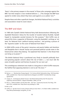'Nazis' is the primary weapon in the arsenal' of those who campaign against the BNP, 'but that weapon is now rendered defunct. […] The changes the BNP have agreed to render every attack they have used against us as useless' [sic].<sup>50</sup>

Despite these and other superficial changes, the British National Party's activities and associations reveal its racist nature.

## The BNP and Islam

In 1989 John Tyndall's British National Party held demonstrations following the Ayatollah Khomeini's fatwa for the murder of novelist Salman Rushdie. Tyndall hoped to manipulate societal tensions for this purpose.<sup>51</sup> Nick Griffin was at around this time a supporter of Khomeini, using the Ayatollah's writings as 'set texts' for National Front 'political training seminars', and printing a picture of the 'Supreme Leader' on the cover of National Front News.<sup>52</sup>

In 2006 Griffin wrote of the party's tenacious and poorly hidden anti-Semitism and Naziphilia that it should 'dump such paranoid political suicide notes in the historical bin where they belong'. He explained that Islamism 'is the threat that can bring us to power':<sup>53</sup>

'*The British National Party is positioned very firmly to benefit politically from ever-growing popular concern about the rise of Islam. […] we must ride the wave of public opinion and harness its power for our own use*'.

This unambiguous statement was made in a long piece in which Griffin reassures the faithful that opposing Islamism is not to aid 'the Jews'.54

- 51 Copsey, N., 'Contemporary British Fascism: The British National Party And The Quest For Legitimacy (Second Edition)', Palgrave MacMillan, 2008, p.47-48
- 52 Rich, D., 'Political Soldiers and the New Man Part Two', Community Security Trust blog, 27th April 2010, available here: http://thecst.org.uk/blog/?p=1406

54 Griffin, N., 'By their fruits (or lack of them) shall you know them', 21st March 2006, available here: http://library.flawlesslogic.com/griffin\_01.htm

<sup>50</sup> Barnes, L. J., 'Membership Change Agreed', 21st Century British Nationalism blog, 14th November 2009, available here: http://www.leejohnbarnes.blogspot.com/2009/11/membership-changeagreed.html

<sup>53</sup> Ibid. p.162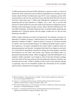A 2004 documentary featured Griffin delivering a speech on Islam, in which he stated that '[this] wicked and vicious faith has expanded from a handful of crank lunatics about thirteen hundred years ago till it's now sweeping country after country before it all over the world and if you read that book [the Qur'an] you'll find that's what they want'.<sup>55</sup> Griffin later defended his statements in court by explaining that he had referred to a religion, not a 'race'. This is not the sole instance in which Griffin has worn the cloak of anti-Islamism to legitimise racism. Hoping to take advantage of public concern about Islamism following the 7th July 2005 bombings, the British National Party circulated leaflets depicting the exploded bus in Tavistock Square with the slogan 'maybe now it's time to start listening to the BNP'.<sup>56</sup>

Griffin's public statements on Islam are hypocritical. For example, he poses as a defender of 'freedom of speech', while his party is for state-controlled media. He advocates 'freedom of belief',<sup>57</sup> while his party is in favour of 'Christian worship in schools' and 'council-funded festivals' to celebrate the British patron saints.58 This hypocrisy is no better exemplified than when Griffin condemns Islam for being expansionist and fascistic. He explains that Islam'[is] a religion at one level. It's a very efficient imperialistic machine for taking over other people's countries and territories on the other' and further, that 'Nazism and Radical Islam cooperated extraordinarily closely'. When struggling to describe Wahhabism to an audience, Griffin remarked 'I can't begin to think of the best Christian analogy, but if you think of the most extreme and extraordinarily intolerant Christian sect and then put it on acid'. Griffin's inability to call to mind a more specific example is surprising, since he has elsewhere lauded 'the Christianity of the Crusades' and has been a lifelong fan of European fascism.

<sup>55</sup> BBC News Website, 'Going Undercover in the BNP', 15th July 2004, available here: http://news. bbc.co.uk/1/hi/magazine/3896213.stm

<sup>56</sup> Copsey, N., 'Contemporary British Fascism: The British National Party And The Quest For Legitimacy (Second Edition)', Palgrave MacMillan, 2008, p.166

<sup>57</sup> Nick Griffin 10/24/07 speech on 'The Islamization Of Europe', available here: http://www.youtube. com/watch?v=7Ro68xT3GNA&feature=related

<sup>58</sup> Copsey, N., 'Contemporary British Fascism: The British National Party And The Quest For Legitimacy (Second Edition)', Palgrave MacMillan, 2008, p.166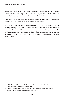Griffin denounces 'the European elite' for failing to effectively combat Islamism, along with the flawed logic behind this failure, by remarking 'In the 1930's it was called appeasement. And that's precisely what it is'.<sup>59</sup>

Nick Griffin's current strategy for the British National Party therefore culminates with the condemnation of its perceived enemies as Nazis.

In 2006, Griffin shared his apocalyptic vision of the future in the party's magazine, Identity, musing on a global financial collapse which would cause Britain to become either a 'Third World Islamic state', or would see an 'indigenous popular backlash' against mass immigration and the evils of 'giant corporations' (looking to 'extract their pounds of flesh'), and in favour of the British National Party seizing power.<sup>60</sup>

<sup>59</sup> Nick Griffin 10/24/07 speech on 'The Islamization Of Europe', available here: http://www.youtube. com/watch?v=7Ro68xT3GNA&feature=related

<sup>60</sup> Copsey, N., 'Contemporary British Fascism: The British National Party And The Quest For Legitimacy (Second Edition)', Palgrave MacMillan, 2008, p.170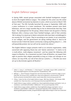## English Defence League

In Spring 2009, several groups associated with football hooliganism merged to form the English Defence League.1 The catalyst for this union was the verbal abuse of British servicemen by Islamists in Luton, which occurred on March 10th of that year.2 The EDL formally launched the group in September 2009 with a press conference in a Luton warehouse. The members present wore black balaclavas, and set a large swastika flag on fire to demonstrate that they 'hate Nazis'. The spokesperson for the group, whose chosen nom de guerre is Tommy Robinson after a famous Luton Town football hooligan, said of their activities '*We're doing it to stand up to Islamic extremists who have been unchallenged in our country for 10-15 years. They're recruiting on our streets, in our universities, in our colleges, and the government are doing nothing about it. And to be honest we don't think the Islamic community is doing anything about it. […] We will peacefully protest, but we will not be scared into silence'.*<sup>3</sup>

The English Defence League presents itself as an inclusive organisation, solely concerned with opposing Sharia law and 'Islamic extremism'.4 It claims to be 'a multi-ethnic, multi-religious movement', and has stated the following with respect to Muslims: 'As a movement we don't hate all Muslims, we respect their right to practice their religion peacefully as long as it does not infringe on our culture, our way of life, our rule of law and our customs. […] The EDL was never set up to discriminate against all Muslims'.<sup>5</sup>

- 3 O'Brien, 'Under the Skin of the English Defence League', BBC News Website, 12th October 2009, available here: http://news.bbc.co.uk/1/hi/programmes/newsnight/8303786.stm
- 4 English Defence League website, available here: http://englishdefenceleague.org/?option=com\_co ntent&view=articl%20e%20%20&id=168&Itemid=134 [accessed September 2010]
- 5 English Defence League website, available here: http://englishdefenceleague.org/?option=com\_co ntent&view=articl%20e&id=124&Itemid=130 [accessed September 2010], available here: http:// atlasshrugs2000.typepad.com/atlas\_shrugs/2010/02/the-english-defense-league-in-their-own-words.html

<sup>1</sup> Gable, G., Cressy, S., and Woodson, T., 'A Hot August?', Searchlight, August 2009, available here: http://searchlightmagazine.com/index.php?link=template&story=286

<sup>2</sup> Ballinger, L., 'Seven Protesters Charged Over Anti-Army Demo Refuse to Stand for Judge in Court', Daily Mail, 5th January 2010, available here: http://www.dailymail.co.uk/news/article-1240518/ Muslim-protesters-branded-British-soldiers-rapists-baby-killers-homecoming-parade.html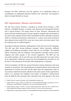However the EDL's behaviour and the opinions of its leadership betray an unwillingness to distinguish between Muslims and 'extremists' and exposes a desire to target Muslims *en masse*.

### EDL Organisation, Mission and Activities

The EDL have several 'divisions', including an Armed Forces Division, a Sikh Division, a Disabled Division, a Lesbian, Gay, Bisexual and Transgender Division and a Jewish Division.<sup>6</sup> The group claims to have 'divisions' nationwide and meets with like-minded groups in Europe regularly. Football style merchandise is for sale on their website, which further exemplifies the EDL's attempts to present itself as a friendly and attractive community, or 'a grass roots social movement who represent every walk of life, every race, every creed, and every colour; from the working class to middle England'.7

According to Maryam Namazie, Spokesperson of the One Law for All campaign, *'The EDL says their having followers amongst 'ethnic minorities, different religions and differing sexualities' means they are not far-Right.*8 *The political Islamic movement also has followers and supporters amongst various ethnic, religious and other groups. It has women supporters. The BNP too has non-white members. On its own this says very little about the non-racist nature of an organisation. Moreover, racism can be promulgated by minorities as can be seen in the statements of the EDL's Sikh spokesperson or Islamists.*

*'Since its inception, the EDL has not put forward a mission statement until more recently. In my opinion, this is partly because it hoped to blame racist actions and statements on activists and rank and file rather than the organisation itself. Its new mission statement however alludes to the racist nature of the organisation, which is to 'promote the traditions and culture of England'.*9 *Having learnt from the BNP, the EDL promotes their nationalist and racist agenda in the most* 

<sup>6</sup> English Defence League Homepage: http://englishdefenceleague.org/

<sup>7</sup> English Defence League website, available here: http://englishdefenceleague.org/?option=com\_co ntent&view=articl%20e&id=124&Itemid=132 [accessed September 2010]

<sup>8</sup> English Defence League, 'The EDL is a human rights organisation', 28th June 2011, available here: http://englishdefenceleague.org/press-release-the-edl-is-a-human-rights-organisation/

<sup>9</sup> English Defence League Mission Statement: http://englishdefenceleague.org/about-us/mission-statement/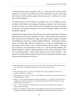*non-controversial manner possible. Even so, a summary look at their mission statement, the actions and statements of their leadership and the violent and racist nature of their protests exposes their primary aim - a defence of a white and Christian England'.*<sup>10</sup>

As Ghaffar Hussain of the Quilliam Foundation says, *'The far-Right has been evolving in their tactics and strategy and seeking to adapt to their environment in order to survive. One of the outcomes of this adaption has been the attempt to hijack the anti-extremist agenda in order to drive through a hidden racist and xenophobic agenda'.*<sup>11</sup>

English Defence League events often descend into violence and arrests. They have attacked those they consider Muslims<sup>12</sup> or Asian<sup>13</sup>. Most of those who attend are male, and some arrive looking for a fight. Some have carried weapons, including 'knuckledusters, a hammer, a chisel[,] a bottle of bleach […] metal poles, bricks[,] sticks' and knives. EDL supporters travelling to an event or congregating in a pub enjoy musical chants, such as 'Muslim bombers off our streets!', 'We had joy, we had fun, we had Muslims on the run',<sup>14</sup> and 'We all hate Muslims! We all hate Muslims!'. Racism is demonstrated by some of those attending, ('Fuck off! You Fucking Pakis!'), while others express concern about Islamism.15 The violent and confrontational nature of their events is amply documented in video footage and by eyewitness accounts.16

16 Anon, 'EDL in Bradford: Far-Right Protesters Clash With Police', Kirklees Unity blog, 20th August 2010, available here: http://kirkunity.blogspot.com/2010/08/edl-bradford-far-right-protesters-clash.html

<sup>10</sup> Statement made during interview at One Law for All's Seminar Enemies not Allies, 26the January 2011: http://www.onelawforall.org.uk/videos-seminar-on-enemies-not-allies/

<sup>11</sup> Ibid.

<sup>12</sup> 'EDL attacking Big John's in Leicester', 9th October 2010, video available here: http://www. youtube.com/watch?v=TxdTEVzzr\_s

<sup>13</sup> 'EDL attacks Asians and Sikhs in Luton', video available here: http://www.youtube.com/watch?v=d a7iRZJKvK4&feature=related

<sup>14</sup> Briggs, B., 'This is England: Masked Like Terrorists, Members of…', Daily Mail, 2nd January 2010, available here: http://www.dailymail.co.uk/home/moslive/article-1238213/This-England-On-trail-English-Defence-League.html

<sup>15</sup> Gazi, F.,'The EDL Uncovered', The Spittoon blog, 13th June 2010, available here: http://www. spittoon.org/archives/6632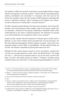The evidence of BNP and neo-Nazi associations among English Defence League activists and organisers continues to grow, $17$  while its events increasingly feature violence, intimidation and criminality.18 In interviews with One Law for All, former EDL members report that the number of BNP supporters attending EDL events is 'definitely increasing'. Talk of 'standing up for England' and 'whites', as well as references to 'fucking Pakis', are quite common.<sup>19</sup>

The EDL's attitude towards Muslims has been fairly consistent. One former EDL member, who had previously written website copy for the group, recalls how he submitted a statement to the group's leadership in November 2009, which invited Muslims to join them in opposing Islamists. The statement was passed on to Tommy Robinson for his approval, which it never received.<sup>20</sup>

Another ex-EDL member cites the treatment of a Muslim girl at an EDL event in Barking<sup>21</sup> as one of the incidents which prompted him to leave the group. The EDL were demonstrating against 'Muslims Against Crusades', when some of its supporters began to chant 'Allah is a paedo[phile]'. The girl asked that they not say that. The chanters responded by pouring their beers over her.<sup>22</sup>

Officially the EDL resents being accused of racism and Nazism, positing that *'The EDL are wrongly painted as racists, Nazis and Muslim-haters. This simply isn't true. […] We set out our stall very early on, we are not racist, we don't like Nazis, we don't want Nazis joining our demos'.*23 However, neo-Nazis baring swastika tattoos over their heart, or who enjoy being photographed in front of

- 22 One Law for All interviews with former members of the EDL, Spring 2011
- 23 English Defence League website, available here: http://englishdefenceleague.org/?option=com\_co ntent&view=artic%20le&id=124&Itemid=132 [accessed September 2010]

<sup>17</sup> Cressy, S., 'The Extremist Defence League', Searchlight Magazine, 26th October 2010, available here: http://www.hopenothate.org.uk/features/article/32/the-extremist-defence-league

<sup>18</sup> Maher, S., 'The EDL: Racists and Thugs', Standpoint Magazine, 15th October 2010, available here: http://standpointmag.co.uk/node/3477

<sup>19</sup> One Law for All interviews with former members of the EDL, Spring 2011

<sup>20</sup> Ibid.

<sup>21</sup> Razaq, R., 'Muslims and extremists clash as soldiers march through Barking', Evening Standard, 15th June 2010, available here: http://www.thisislondon.co.uk/standard/article-23845321 muslims-and-far-Right-groups-clash-as-soldiers-march-through-barking.do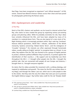Nazi flags, have been recognised as organisers<sup>24</sup> and 'official stewards'<sup>25</sup> of EDL events. Several have Blood & Honour tattoos across their chest and have posed for photographs performing the Roman salute.

### EDL's Spokespersons and Leadership

### a) Paul Ray

Much of the EDL's rhetoric and aesthetic can be traced to internet activist Paul Ray, who claims to have created the group by organising various pre-existing groups and planning rallies. While he probably overstates his role, Ray's ideas have certainly influenced the EDL, and have been adopted by many of its members in a watered-down form. They are also typical of a new strain of far-Right thinking which is increasingly prevalent online. Ray's web log 'Lionheart' features biblical quotations, World War I tributes, celebration of the British monarchy, hysteria concerning 'Global Islamic Terror', and the indulgence of 'Crusader' fantasies.26 His interests are often expressed through homemade videos, usually calling on English 'patriots' to recognise Islam as a threat. In one video, Ray explains that the *'EDL was formed to be a group of English patriots to protest, whatever political affiliation they're joined to, to protest against the Islamification of their country […] My support and my leadership was there throughout the EDL […] I brought other people into the EDL, I brought the political side, that are connected with people all over Europe and America, I brought them in, I brought everyone together'.*

He claims that his videos provided the movement with a unifying ideology, and inspired its mobilisation and growth: 'The vision for the EDL was written down in my blog[,] and through the videos I put out, which was to unite people to take to the streets. And they were the very first videos that were put out to promote the English Defence League'. Ray further takes credit for the red 'Templar shield'

<sup>24</sup> 'EDL organisers proven Nazis – New!' video available here: http://www.youtube.com/ watch?v=oC5YYbwV5yo

<sup>25</sup> 'EDL ask Nazi to steward Geert Wilders demo' video available here: http://www.youtube.com/ watch?v=X0JpZB3avXo&feature=player\_embedded

<sup>26</sup> Lionheart blog, available here: http://lionheartuk.blogspot.com/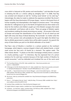cross which is featured on EDL posters and merchandise,27 and describes his part in initiating the EDL as 'a divine calling by almighty God'.<sup>28</sup> In 2008, Paul Ray was arrested and released on bail for 'inciting racial hatred' on his web log.<sup>29</sup> Interestingly, the video he made to celebrate the experience (entitled 'My Arrest') begins with the Stop Islamisation Of Europe slogan, 'racism is the lowest form of human stupidity, but Islamophobia is the height of common sense'.<sup>30</sup> His writings describe his 'willing[ness] to go to the North of England [to] do what needs to be done for the mothers and children caught up in this Moslem savagery that needs to be eradicated', and feature calls to arms: *'There are gangs of Moslem rapists and murderers walking the streets terrorising our society…Do we give in like most of Europe and accept the Islamification of our Nation? Or do we stand up and fight with every last drop of blood declaring 'No Surrender' no matter what the cost? A few summer riots will probably be the spark that lights the British fury that no British government or police force will be able to quench. Go quench the army of Islam before you pick on the British defenders of our lands'.*<sup>31</sup>

Paul Ray's view of Muslims is manifest in a cartoon posted on the Lionheart homepage, which depicts a woman draped in black with skeletal hands, a metal mesh across her face and a lit bomb for a stomach. The caption reads: 'The Other Islamic Bomb'.<sup>32</sup> A photo on the EDL's homepage similarly shows a woman in a burka pointing a gun. $33$  In interviews, Ray has expressed fear of a prison sentence for his web log's contents because of the high number of Muslims he would encounter,34 and has defended and trivialised the use of the racist word

- 27 'The Founding History of the EDL' video available here: http://www.youtube.com/ watch?v=vT0jXnKOHFY
- 28 'A Message to the EDL Membership Part 2/2' video available here: http://www.youtube.com/watch ?v=qFEqAZa2J6w&playnext=1&videos=bsouKY BN4So&feature=mfu\_in\_order
- 29 Cunniffe, J., 'Racial Hatred Arrest for Internet Blogger', Luton & Dunstable Express, 13th April 2008 updated 19th February 2009, available here: http://www.luton-dunstable.co.uk/News/Racialhatred-arrest-for-internet-blogger.htm
- 30 'My Arrest' video by LionheartUK available here: http://lionheartuk.blogspot.com/2008/10/myarrest html
- 31 Pierce, L., 'Oh England, My Lyin' Heart', Sadly No blog, 7th January 2008, available here: http:// www.sadlyno.com/archives/8416.html
- 32 Lionheart blog, available here: http://lionheartuk.blogspot.com/
- 33 English Defence League website, available here: http://englishdefenceleague.org/
- 34 'Lionheart An Interview' videos, Lionheart blog, 2nd February 2008, available here: http:// lionheartuk.blogspot.com/2008/02/interview.html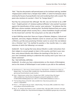'Paki'.35 Ray has also posted a self-penned poem on his Lionheart web log, (entitled 'Original poem written from a Templar heart 2009'), in which he fantasizes about entering the houses of young Muslim men and murdering them with a sword. The poem also mentions its narrator's 'thirst' for 'foreign blood'.36

Paul Ray has announced that although 'the EDL was not formed to be a BNP front', 'English patriots' of 'whatever political affiliation' who wanted 'to protest against the Islamification of their country' were welcome.<sup>37</sup> He believes that the BNP have a divine mandate, declaring that 'the British National Party are a party for the British people whose country this is, whose forefathers fought and died for this Great land' and that 'the Living God is on the side of the BNP'.<sup>38</sup>

In April 2009 Ray wrote that 'there are 3 types of Moslem, Religious, Cultural and Apostate, and every religious Moslems wants to convert you into a Moslem or a Dhimmi, just like every practicing Christian wants to convert the non-believer into a Christian' [sic].39 He clarified his position a few months later, in a radio interview of which the following is an excerpt:

*Goldsmith: You're saying that every devout Muslim is under instructions from their religion to convert people to Islam in this country, and that in your view then, every devout Muslim who follows the teachings of the Qur'an, is in your view somebody seeking to undermine this country and in your view is an Islamic extremist?*

*Ray: Yeah definitely, definitely.*

*Goldsmith: So when you have a demonstration on the streets of Birmingham, and on the streets of Whitechapel in east London as you did on the weekend,* 

- 36 Anon, 'Original poem written from a Templar heart 2009', Lionheart blog, 8th August 2000, available here: http://lionheartuk.blogspot.com/search?updated-min=200-01- 01T00%3A00%3A00Z&updated-max=2001-01-01T00%3A00%3A00Z&max-results=3
- 37 'The Founding History of the EDL' video available here: http://www.youtube.com/ watch?v=vT0jXnKOHFY
- 38 Pierce, L., 'Oh England, My Lyin' Heart', Sadly No blog, 7th January 2008, available here: http:// www.sadlyno.com/archives/8416.html
- 39 Ray, P., 'St. George's Day Parade in Luton', Lionheart blog, 10th April 2009, Comment 13th April 2009 08:40, available here: http://lionheartuk.blogspot.com/2009/04/st-georges-day-in-luton.html

<sup>35</sup> Bartholomew, R., 'Glen Jenvey's Friend Lionheart on 'Paki Muslims'', Bartholomew's Notes on Religion blog, 17th January 2009, available here: http://barthsnotes.wordpress.com/2009/01/17/ glen-jenveys-friend-lionheart-on-paki-muslims/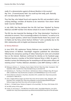*really it's a demonstration against all devout Muslims in this country? Ray: Erm…[5 second pause] Yeah. You could say that really, yeah. Basically, let's not beat about the bush. Yeah.*<sup>40</sup>

Thus Paul Ray, who helped found and organise the EDL and provided it with a unifying ideology, considers all Muslims to be 'extremists' from whom 'British lands' must be 'defended'.

In July 2009, Paul Ray declared that the EDL had been 'hijacked' by Tommy Robinson and BNP member Chris Renton ahead of an event in Birmingham.41

The EDL has also imported the ideology of the 'Stop Islamisation' franchise to articulate its concerns. This is increasingly evident in its rhetoric,<sup>42</sup> as well as in its choice of quest speakers, (which have included Florida Pastor Terry Jones<sup>43</sup> and US Rabbi and Tea Party activist Nachum Shifren),<sup>44</sup> and is probably due to the EDL's relationship with its English and American branches.45

#### b) Tommy Robinson

In June 2010, EDL spokesman Tommy Robinson was revealed to be Stephen Yaxley-Lennon of Bedford. Searchlight magazine published the information following the anonymous posting of videos featuring his name and unmasked face on the internet. Robinson confirmed his identity on his Facebook page. Robinson became a member of the British National Party in 2004. He spent 12 months in prison the following year for assaulting an off-duty police officer and resisting arrest.46 Further, Robinson attended a Luton BNP meeting in 2007, in

- 41 Bartholomew, R., 'Paul Ray on Chris Renton', Bartholomew's Notes on Religion blog, 8th August 2009, available here: http://barthsnotes.wordpress.com/2009/08/08/paul-ray-on-chris-renton/
- 42 Tommy Robinson interview on Sky News, December 2010, available here: http://www.youtube. com/watch?v=MEbL-IPL1Yc
- 43 Anon, 'English Defence League says Pastor Terry Jones will not speak at rally', Telegraph, 14th December 2010, available here: http://www.telegraph.co.uk/news/religion/8200443/English-Defence-League-says-Pastor-Terry-Jones-will-not-speak-at-rally.html
- 44 Bird, S., 'US Rabbi Praises 'Patriots of England' at Pro-Israel Rally', The Times, 25th October 2010
- 45 See SIOE section of this report
- 46 Lowles, N. and Cressey, S., 'The BNP Past of the EDL Leader', Searchlight Magazine, June 2010, available here: http://www.hopenothate.org.uk/features/article/26/the-bnp-past-of-the-edl-leader

<sup>40</sup> Meleagrou-Hitchens, A., 'Hooligans, Racists, Bigots: We Don't Want Your Help', Standpoint, 16th September 2009, available here: http://standpointmag.co.uk/node/2149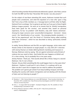which founding member Richard Edmonds delivered a speech. John Pater, activist for both the BNP and the Nazi 'November 9th Society' was also present.<sup>47</sup>

On the subject of neo-Nazis attending EDL events, Robinson insisted that such people were unwelcome, and cited the expulsion of a man who 'gave a Sieg Heil' from a bus of EDL members as a 'message back to all their other far-Right, National Front scumbags: You're going to get beat up if you go to these English Defence League protests'. He went on to remark that he 'think[s] immigration [has] been good for the country', and asserted that, based on personal experience, he has 'no problem' with Muslims, only with 'Islamic extremists'. Among his major concerns were 'uncontrolled immigration', 'terrorism', 'sharia courts', the 'Islamification of our society', 'the emerging double standards […] that he has experienced' and 'the threat of 'Christmas being called anything other than Christmas'', which he was described as being 'particularly worked up about'.48

In reality, Tommy Robinson and the EDL use rights language, victim status and threats similar to the Islamists to target people. In a July 25th 2011 interview with Jeremy Paxman on Anders Behring Breivik's bombing and massacre in Norway, Robinson ends by saying, *'We are against extremism and all kinds of violence but you need to listen. God forbid this ever happens on British soil. It's a time coming. You're probably five or ten years away.* 

*Jeremy Paxman: Thank you. That sounds almost like a threat, hang on a second. Robinson: No it's not a threat.* 

*Paxman: Do you think something like this could happen here in a few years time? Robinson: I believe it could and it's not a threat, it's a wakeup call to say listen we don't want this to happen but we need to address the problem. The problem ain't gonna get solved if we keep building mosques and keep flooding the country with Islamic immigration and not dealing with the threats of Islam and not listening to people'.*<sup>49</sup>

<sup>47</sup> Woodson, T., 'EDL's Tommy Robinson at a Luton BNP Meeting?', Three Counties Unity blog, 1st November 2010, available here: http://threecountiesunity.blogspot.com/2010/11/edls-tommyrobinson-at-luton-bnp.html

<sup>48</sup> Amis, L., 'In League With The Far Right?', Standpoint Magazine, Nov '09, available at: http:// standpointmag.co.uk/node/2311/full

<sup>49</sup> Tommy Robinson interview on BBC2, 25th July 2011: http://www.youtube.com/ watch?v=4RdJ4dpRQeE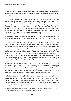At an October 2010 event in Leicester, Robinson complained about his alleged victimization by the police, and protested that he would not be subject to this kind of treatment if he were a Muslim:

*'They threw the Bible on the floor like it was any other book. To myself, I'm not incredibly religious, but my parents are. Now, they disregard the Bible on the floor. They would not do that to the Qur'an. This is exactly the reasons why we formed. To combat a two-tier system. One rule for them, and another rule for us. And it's true, it's oppression. That's exactly what it is. It's apartheid. It's kid gloves for their community, and iron fist for our community. And it won't be tolerated. People have put up with it for far too long'.* 

To cheers from the crowd, he continued to merge his personal experience with that of the English Defence League as a whole, as well as with its cause more generally:

*'The truth is I'm nothing more than a patriot who ain't gonna say no. The police weigh up the situation, and rather than deal with Islamic militant Muslim gangs peddling heroin, taking liberties in our towns and cities, taking liberties with our fuckin' youth, taking liberties with fuckin' non-Muslim youths, non-Muslim girls, raping, pimping, beating, abusing our whole system, rather than deal with these gangs, they would rather persecute us, the people who are highlighting the issue. And the fact is the police, the councils, the government, everyone needs to wake up. We're not going anywhere. We're growing in strength. We're growing in number. We will be here next year. We will be here for the next ten years.* 

'People say, *"where are the English Defence League going?". My children, three, two and I've got another one on the way, they will be members of the English Defence League. The English Defence League is going nowhere. It's here now, it's not going anywhere. We will combat militant Islam wherever it raises its ugly, paedophilic, disturbed, medieval fuckin' head, we'll be there'.*<sup>50</sup>

He further spoke of 'Wales, Britain, Scotland, everywhere […] coming together for the united front': *'The united front is we will not tolerate what's gone on for the last fifteen years. Liberties have been taken across our whole nation. And the days of militant Islam walking across our country unchallenged are gone. The English Defence League is here'.*

<sup>50</sup> Tommy Robinson speech at Leicester EDL Rally, October 2010, video available here: http://www. youtube.com/watch?v=IhDo5TCcaVc&feature=player\_embedded#!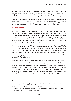In closing, he extended this appeal to people of all ethnicities, nationalities and religions: *'We don't care whether you arrived here yesterday, you are welcome to protect our Christian culture and our way of life. We will not tolerate it anymore'.*<sup>51</sup>

Judging by the response he elicited from the assembly, Robinson's professions of martyrdom, vows of defiance, and his tactical discourse when addressing journalists combine to provide the English Defence League with the mask they require.<sup>52</sup>

### **c) Guramit Singh**

In order to prove its commitment to being a 'multi-ethnic, multi-religious movement' that 'represent[s] every race, every creed, and every colour', the EDL has made use of 'non-white' persons sympathetic to its cause. One such individual is Guramit (or Amit) Singh, a British Sikh and English Defence League spokesperson and activist. Singh has defended the group against the charge of being 'anti-Muslim', asserting the following:

*'We're not here to be anti-Muslim, anybody in the group who is anti-Muslim will be kicked out. We're here to fight against Muslim extremism. If Hindus were doing what the Muslims are doing, if Sikhs were doing it […] whoever was to do it in this country, we would fight against them. I can understand that it can look like we're singling out Muslims but we're not, we're not here to do that. We're against Muslim extremists'.*<sup>53</sup>

However, Singh advocates organising marches in parts of England such as Bradford and opined that *'Bradford will be huge. The problem with Bradford is, like, the security threat. It's a highly populated Muslim area. They're very militant as well. It don't take fucking much for those Pakis to walk in there and set a bomb off. There is a big security thing, so once we get over that and sort something out then we'll be going to Bradford. Bradford's a place that's got to be hit'. He has also acknowledged the likelihood of violence at EDL events,* 

<sup>51</sup> Ibid.

<sup>52</sup> Paul Ray's 'EDL Leader Tommy Robinson Unmasked' video, available here: http://www.youtube. com/user/EDLmediauk#p/u/30/qOd9bRJZtVk

<sup>53</sup> Kermani, S., 'Meet the EDL's anti-racist poster boy', The Samosa website, 19th January 2010, available here: http://www.thesamosa.co.uk/index.php/news-and-features/society/210-exclusive-fthe-pakis-meet-the-elds-anti-racist-poster-boy.html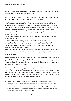*remarking at one demonstration that 'If them barriers break one day and our lads get through they'll murder them all'.*<sup>54</sup>

It was revealed after an investigation that Guramit Singh's Facebook page was 'littered with racist jokes' and 'rants' directed at Muslims:

*'You know what, ive got an inkling the profit muhammed was really a bit of a adultering, raping, hate preaching looting Cunt!! Anyone agree, or is it just me???? the muzzies wanna keep away from me im just looking for an excuse im fucked off at the mo fuck the pakis … i just think we shud burn the cunts now!!* [...] before you do retire sir richard attenborough, any chance you can find me *a moderate muslim????*

*- [comment by Guramit Singh] hes just rung me and said hes got more chance of finding bin laden!!*

*- [comment by another supporter] Ordinary Muslims lol, there aint 1 in birmingham. They all have 6 inches of rat hair hangin from there chin*

*- [comment by Guramit Singh] how dare you compare muslims to rats, rats deserve more respest than that! lol*

*[Comment aimed at a Muslim who insulted the EDL] hey amir how many times have u fucked your sister today, ure all a bunch of pedos, piss off back to pakistan!!' [sic].*

When confronted about these remarks, Singh explained that they had been 'provoked' by his 'receiving death threats from Muslims all the time', and that they were 'intended as jokes'. He went on to admit that he considers Islam to be an 'inherently extremist religion':

*'I do believe that the majority [of Muslims] believe in these extreme actions […] From what I've been told and what I've read it is an extremist religion. If you ask the majority of the world they say it is an extremist religion. This is what the British public perceives and this is what I perceive. This is what I know Islam to be. This is what I'm taught from Islam's speakers'.*<sup>55</sup>

<sup>54</sup> Taylor, M., 'English Defence League: Inside the violent world of Britain's new far right', The Guardian, 28th May 2010, available here: http://www.guardian.co.uk/uk/2010/may/28/englishdefence-league-guardian-investigation

<sup>55</sup> Kermani, S., 'Meet the EDL's anti-racist poster boy', The Samosa website, 19th January 2010, available here: http://www.thesamosa.co.uk/index.php/news-and-features/society/210-exclusive-fthe-pakis-meet-the-elds-anti-racist-poster-boy.html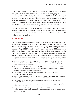Clearly Singh considers all Muslims to be 'extremists', which may account for his willingness to speak of them and march against them in the aggregate, as well as his affinity with the EDL. At a London rally in March 2010, Singh closed his speech to cheers and applause with the following statement. He paused for dramatic effect before delivering the punch line: *'God bless every single person in this country, of all religions, creeds and cultures, and you know what? Even God bless the Muslims. They'll need it for when they're burning in fucking hell'.*<sup>56</sup>

The EDL has attempted to disassociate itself from some of Singh's comments, which it asserts are an 'expression' of his 'personal views'.<sup>57</sup> It has not however taken any action since being made aware of them, nor has his position as EDL spokesperson been reviewed.

### **d) Chris Renton**

Chris Renton, who has adopted the alias 'John Sheridan', was described in an interview with Paul Ray as an 'activist' for and 'fully paid up Gold member' of the British National Party.58 Renton, according to Ray, 'hijacked' the English Defence League in August 2009.59 Renton was 'de facto commander of EDL as a whole' following Robinson's unmasking, and has since retained great 'control over the EDL'.60 Renton attended English Defence League events as early as May 2009.61 He has administrated many of the group's Facebook accounts,<sup>62</sup> (which are used to organise and promote their rallies) and originally 'set up its website', as Paul

- 56 Taylor, M., 'English Defence League: Inside the violent world of Britain's new far right', The Guardian, 28th May 2010, available here: http://www.guardian.co.uk/uk/2010/may/28/englishdefence-league-guardian-investigation
- 57 Kermani, S., 'Meet the EDL's anti-racist poster boy', The Samosa website, 19th January 2010, available here: http://www.thesamosa.co.uk/index.php/news-and-features/society/210-exclusive-fthe-pakis-meet-the-elds-anti-racist-poster-boy.html
- 58 'The Infiltration of the EDL', Lionheart blog, available here: http://lionheartuk.blogspot. com/2010/03/infiltration-of-edl.html
- 59 Bartholomew, R., 'Paul Ray on Chris Renton', Bartholomew's Notes on Religion blog, 8th August 2009, available here: http://barthsnotes.wordpress.com/2009/08/08/paul-ray-on-chris-renton/
- 60 'The Infiltration of the EDL', Lionheart blog, available here: http://lionheartuk.blogspot. com/2010/03/infiltration-of-edl.html
- 61 'People of Luton Protest against Muslim Extremism' video, available here: http://www.youtube. com/watch?v=z3tg74jxOy4
- 62 Cressy, S., 'English Defence League cracks begin to show', Searchlight Magazine, 14th January 2010, available here: http://www.hopenothate.org.uk/features/article/20/english-defence-leaguecracks-begin-to-show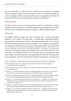Ray has confirmed in a radio interview.63 Ray has accused Renton of leading 'smear campaigns' against those he considers 'traitors' or 'hostile'. Eligibility for such a campaign includes *'questioning EDL policy or suggesting new tactics for protests that do not involve fighting the police or UAF members'.*<sup>64</sup>

#### **e) Kevin Carroll**

The EDL's current second in command, Kevin Caroll,<sup>65</sup> has admitted to having 'signed the nomination papers' for a BNP candidate and neo-Nazi activist in 2007. Carroll has also reportedly considered running as a BNP candidate himself.<sup>66</sup>

### **f) Alan Lake**

The English Defence League has been provided with 'funding materials[,] publicity'67 and 'advice'68 by Alan Lake, a 'middle-aged, respectable-looking' businessman69 and 'computer expert'. Lake approached the EDL in the summer of 2009 with the promise of money and wisdom.<sup>70</sup> At a conference organised by the nationalist Swedish Democrats party in September 2009, Lake opined that it was 'necessary to build an anti-jihad movement' in Europe. This movement would have 'free speech, democracy, equality in law and cultural tolerance' as its 'message', and would make alliances with 'lesbian and gay organisations [and] other religions and ethnic groups'. Lake expounded the view that web logs alone were inadequate, and that circumstances required 'people that are ready to go

- 63 'EDL is a BNP front?', video available here: http://www.youtube.com/watch?v=1eeE9tJkdgg
- 64 'The Infiltration of the EDL', Lionheart blog, available here: http://lionheartuk.blogspot. com/2010/03/infiltration-of-edl.html
- 65 'EDL Leadership and Structure', Hope Not Hate website: http://www.hopenothate.org.uk/hategroups/edl/structure
- 66 Cressy, S., 'The Extremist Defence League', Searchlight Magazine, 26th October 2010, available here: http://www.hopenothate.org.uk/features/article/32/the-extremist-defence-league
- 67 Lowles, N., 'Businessman Bankrolls Street Army', Searchlight Magazine, 17th October 2009, available here: http://www.hopenothate.org.uk/features/article/11/businessman-bankrolls-street-army
- 68 Briggs, B., 'This is England: Masked Like Terrorists, Members of…', Daily Mail, 2nd January 2010, available here: http://www.dailymail.co.uk/home/moslive/article-1238213/This-England-On-trail-English-Defence-League.html
- 69 Lowles, N., 'Businessman Bankrolls Street Army', Searchlight Magazine, 17th October 2009, available here: http://www.hopenothate.org.uk/features/article/11/businessman-bankrolls-street-army
- 70 Briggs, B., 'This is England: Masked Like Terrorists, Members of…', Daily Mail, 2nd January 2010, available here: http://www.dailymail.co.uk/home/moslive/article-1238213/This-England-On-trail-English-Defence-League.html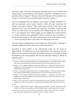out in the street'. He further informed the assembly that 'he and his friends had already begun to build alliances with football supporters': *'Football fans are a potential source of support. They are a hoi polloi that gets off its backsides and travels to a city and they are available before and after matches'*. 71

Lake has complained that 'our leaders in this country no longer represent us',<sup>72</sup> and has expressed concern about Muslims 'within 40 years' becoming the largest community in Europe.73 When asked about violence at EDL events, Lake explained that it was 'not desirable but sometimes inevitable', remarking that *'There are issues when you are dealing with football thugs but what can we do?'*74 and elsewhere that *'These people are not middle-class female teachers*  [...] if they continue to be suppressed it will turn nasty one way or another [...] *We have to put bodies on the street, writing letters to the Times does not work […] if we are going to have a mess that is so much grist to the mill'.*<sup>75</sup>

Lake has claimed subsequently to have broken ties with the EDL, $76$  although it has been suggested that he continues to offer them advice.<sup>77</sup>

According to Shiraz Maher of the International Centre for the Study of Radicalisation: *'We really must see these organisations that operate on the far-Right, and try to present themselves as legitimate partners in this fight, as being the flipside of the same problem that we are ultimately seeking to defeat in Islamism itself'.*<sup>78</sup>

- 71 Lowles, N., 'Businessman Bankrolls Street Army', Searchlight Magazine, 17th October 2009, available here: http://www.hopenothate.org.uk/features/article/11/businessman-bankrolls-street-army
- 72 Briggs, B., 'This is England: Masked Like Terrorists, Members of…', Daily Mail, 2nd January 2010, available here: http://www.dailymail.co.uk/home/moslive/article-1238213/This-England-On-trail-English-Defence-League.html
- 73 Lowles, N., 'Businessman Bankrolls Street Army', Searchlight Magazine, 17th October 2009, available here: http://www.hopenothate.org.uk/features/article/11/businessman-bankrolls-street-army
- 74 Briggs, B., 'This is England: Masked Like Terrorists, Members of…', Daily Mail, 2nd January 2010, available here: http://www.dailymail.co.uk/home/moslive/article-1238213/This-England-On-trail-English-Defence-League.html
- 75 Taylor, M., 'EDL: New wave of extremists plotting summer of unrest', Guardian, 28th May 2010, available here: http://www.guardian.co.uk/uk/2010/may/28/english-defence-league-protest-bnp
- 76 Ibid.
- 77 Cruddas, J., 'English Defence League is bigger threat than the BNP', Guardian, 10th October 2009, available here; http://www.guardian.co.uk/uk/2010/oct/10/john-cruddas-english-defence-league
- 78 Statement made at One Law for All 'Enemies Not Allies' seminar, 26th January 2011, available here: http://www.onelawforall.org.uk/videos-seminar-on-enemies-not-allies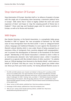## Stop Islamisation Of Europe

Stop Islamisation Of Europe1 describes itself as 'an alliance of people in Europe with the single aim of preventing Islam becoming a dominant political force in Europe'. SIOE claims that it 'exists to legally combat the overt and covert expansion of Islam' and hopes to 'stop the creeping growth of Sharia law in England'.2 Clone web logs and Facebook pages exist for several countries in Europe, as well as for Russia and Australia.3

## SIOE Origins

*Dan Danske Forening*, or the Danish Association, is a xenophobic lobby group founded in 1987 to 'oppose' the 'new occupation of Denmark' by 'the tidal wave of mass-immigration from the third world'. It aims to 'safeguard Danish culture, language and traditional lifestyle[,] to warn against the dissolution of [Danish] cultural identity which is now under threat of being swamped by an enormous influx of immigrants from countries plagued with overpopulation', and 'to prevent the disintegration of Denmark as the homeland of the Danish people'. Membership of the Danish Association is denied to what it refers to as 'anti-democratic elements' who 'hold extremist views', while it '[would] be pleased to co-operate with like-minded citizens of other countries'.4 Its website bares an 'Official Apology From Denmark to the Muslim World', which states on behalf of 'all Danes' that they are 'sorry' for having '[given] you shelter when war drove you from your home country', for having allowed Muslims access to

- 2 'About' section of SIOE website, published here: http://sioe.wordpress.com/about/
- 3 Homepage of SIOE website, published here: http://sioe.wordpress.com/
- 4 'Who are we?' section of Dan Danske Forening website, available here: http://www. dendanskeforening.dk/index.asp?id=27

<sup>1</sup> The SIOE and SIAD websites were 'hacked' and 'deleted' in February 2011 according to SIOE, and are not available online. This report therefore cites the original web addresses and dates for links, where possible provides alternative web sources, and can produce screen captures and videos if challenged. For SIOE's 'hacking' claim, see Geller, P., 'SIOE Website Hacked and Deleted by the Enemies of Free Speech', Atlas Shrugs blog, February 21st 2011, available here: http:// atlasshrugs2000.typepad.com/atlas\_shrugs/2011/02/sioe-website-hacked-and-deleted-by-enemiesof-free-speech.html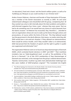'an education[,] food and a home' and the Danish welfare system, as well as for 'build[ing] you Mosques so you could worship in our Christian land'.5

Anders Gravers Pedersen, chairman and founder of Stop Islamisation Of Europe, was a member of the Danish Association as recently as 2005. He and some Jutland based colleagues were dissatisfied with the group, complaining that 'all they wanted was only to talk internally about the Islam problems and publish a well-informed magazine four times a year', whereas they were aware 'that we had to do something now if we would have any chance to sa[v]e Denmark from the Islamic invasion'. As Pedersen has recounted, they 'therefore […] decided to start an organisation whose aim was to wake up the Danes through actions and provocations, of course within the limits of the law'. This they believed would *'put the government in the devils dilemma, that means, no matter what they did, SIAD would have a win-and-win situation. If they allowed our demonstrations, there would be serious trouble, and if they wouldn't allow us to demonstrate, SIAD had proved that the freedom of speech and the right to gather in public was suppressed and eliminated' [sic].*<sup>6</sup>

The organisation Pedersen went on to found was Stop Islamiseringen af Danmark (SIAD), which contested Danish elections in 2005<sup>7</sup> and 2007. $8$  Their manifesto included a ban on 'Halal-slaughtered meat', as well as 'the prohibition of the Qur'an in Denmark'.9 As of late 2010 membership of Stop Islamiseringen af Danmark was restricted, as this message from the group's website demonstrates: 'Nazister, kommunister, muslimer og andre med udemokratiske holdninger kan ikke vaere medlem af SIAD'(emphasis original).10 This translated into English

- 7 'Sommerredaktion: Hojreradikal hooligan-mobilisering uden succes', Redox magazine, 13th July 2006, available at: http://www.redox.dk/spip.php?article30
- 8 'Anti-muslimer taber pusten', Redox magazine, 12th December 2007, available here: http://redox. dk/spip.php?article190
- 9 Hansen, L., 'Fremmedfjendsk k-valg', Modkraft.dk news website, 19th October 2005, available here: http://www.modkraft.dk/nyheder/article/fremmedfjendsk-k-valg
- 10 'Membership' section of SIAD website, published here: http://siad.wordpress.com/medlemskab/ , Anders Gravers Pedersen repeats the policy here: http://ditcentrum.nordjyske.dk/forums/ p/92319/183943.aspx#183943

<sup>5</sup> 'The Official Apology from Denmark to the Muslim World', Dan Danske Forening website, available here: http://www.dendanskeforening.dk/side405.html

<sup>6</sup> 'UK and Scandinavia Counterjihad Summit' transcript, SIOE website, 15th April 2007, published here: http://siad.wordpress.com/2007/04/15/uk-and-scandinavia-counterjihad-summit/, available here: http://gatesofvienna.blogspot.com/2007/04/report-on-counterjihad-summit.html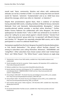would read: 'Nazis, communists, Muslims and others with undemocratic attitudes can not be a member of SIAD'. It is worth noting that there are Danish words for 'Islamist', 'extremist', 'fundamentalist' and so on. (SIAD have since altered this message, which now refers to '*Islamister'*, or Islamists.)<sup>11</sup>

Despite their proclamations against Nazis, there is evidence of neo-Nazis having attended SIAD events, including members of Blood & Honour, *Danmarks Nationale Front and Danmarks Nationalsocialistiske Bevaegelse*, 12 (whose swastika-adorned website provides a neo-Nazi online directory).<sup>13</sup> Further, Anders Gravers Pedersen has collaborated with Julius Borgesen, the former spokesperson for *Danske Front*, 14 who in 2007 was sentenced to six months in prison for 'calling for an arson attack against' a Danish minister.15 *Danske Front* is a 'right-wing extremist' group which has 'co-operated' with Blood & Honour and Combat 18.16 Borgesen has reportedly attended B&H events, and in 2005 participated in a march to celebrate Rudolf Hess.<sup>17</sup>

Having been expelled from the *Front*, Borgesen founded *Frie Danske Nationalister*, or Free Danish Nationalists.<sup>18</sup> The group's official YouTube channel<sup>19</sup> has among its subscribers users calling themselves 'dkneonazi', 'JEWSARE666' and 'nickgriffern'. Other subscribers have chosen avatars which read 'United Aryan Terror' and 'White Power!'. The 'White Power!' avatar features an eagle atop

- 13 Website available here: http://www.dnsb.info/politik/ns/docs/links.php
- 14 Danish television interviews with Borgesen for TV2, available here: http://video.google. com/videoplay?docid=1488099343485215184# and here: http://www.youtube.com/ watch?v=4LZpwl4Wmms
- 15 'Annual Report 2006-2007', The Danish Security and Intelligence Service (PET), p.53, available here: http://www.pet.dk/upload/petannualreport\_2006-2007.pdf
- 16 'Annual Report 2003', The Danish Security and Intelligence Service (PET), p.40, available here: http://www.pet.dk/upload/aarsberetning\_2003\_uk.indd.pdf
- 17 'Anti-muslimer taber pusten', Redox magazine, 12th December 2007, available here: http://redox. dk/spip.php?article190

19 Frie Danske Nationalister YouTube account, available here: http://www.youtube.com/user/ FreeDenmark

<sup>11</sup> 'Membership' section of new SIAD website, available here: http://siaddk.wordpress.com/ medlemskab/

<sup>12</sup> 'Kendt skuespiller skal tale for nynazister', Redox magazine, 6th September 2010, available here: http://redox.dk/spip.php?article971

<sup>18</sup> Ibid.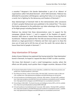a swastika.20 Borgesen's *Frie Danske Nationalister* is part of an 'alliance' of organisations called '*Anti-jihad Danmark*', which SIAD dominates. Pedersen has defended his association with Borgesen, opining that 'Julius is in no way Nazi [or a racist], but is fighting for the democracy and freedom of Denmark'.<sup>21</sup>

*Stop Islamiseringen af Danmark* held its first demonstration after caricatures of Islam's prophet Muhammad were published in the Jutland Post.<sup>22</sup> The storm that broke subsequent to the publication was taken advantage of by a number of far-Right groups including *Danske Front*. 23

Pedersen has claimed that these demonstrations were 'in support for the newspaper Jyllands Posten […] and in support of the freedom of speech'. However, SIAD chose to 'name' their demonstration 'Hamas Genociders Out of Scandinavia'. Pedersen explained that 'the title was because Hamas was recently elected as a legal government in Palestine and their main goal is to chase the Jews out of Israel and to kill the Jews all over the world. We cannot allow to house these kind of people in Denmark'.<sup>24</sup>

## Stop Islamisation Of Europe

Anders Gravers Pedersen has explained that having tested the 'Stop Islamisation' brand in Denmark, he hoped to 'expand the ideas of SIAD' to other countries:

*'We know that Denmark is such a small homogenious country, where the effects are felt quickly, much quicker than in bigger countries. Because of that* 

- 21 The Vikings Are Stirring', Gates of Vienna blog, 25th April 2007, Comments made on 26th and 27th, available here: http://gatesofvienna.blogspot.com/2007/04/vikings-are-stirring.html
- 22 'UK and Scandinavia Counterjihad Summit' transcript, SIOE website, 15th April 2007, published here: http://siad.wordpress.com/2007/04/15/uk-and-scandinavia-counterjihad-summit/, available here: http://gatesofvienna.blogspot.com/2007/04/report-on-counterjihad-summit.html
- 23 'Annual Report 2004-2005', The Danish Security and Intelligence Service (PET), p.52-53, available here: http://www.pet.dk/upload/annualreport2004-2005.pdf
- 24 'UK and Scandinavia Counterjihad Summit' transcript, SIOE website, 15th April 2007, published here: http://siad.wordpress.com/2007/04/15/uk-and-scandinavia-counterjihad-summit/ , available here: http://gatesofvienna.blogspot.com/2007/04/report-on-counterjihad-summit.html

<sup>20</sup> Frie Danske Nationalister YouTube account subscribers, available here: http://www.youtube.com/ profile?user=FreeDenmark&view=subscribers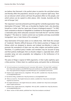*we believe that Denmark is the perfect place to practice the anti-jihad actions and thereby affect the population, because we get a response right away. Then we can discover which actions will have the greatest affect on the people, and which actions can be copied to other places, USA, Canada, Australia and the rest of Europe' [sic].*

This 'expansion' was to be achieved in part through the 'umbrella organisation' Stop Islamisation Of Europe.25 SIOE was co-founded by Stephen Gash, who describes himself as a 'writer' who has 'spent over 20 years in biological research'.<sup>26</sup> In 2007 Gash contested an election in Sedgefield as candidate for the English Democrats,<sup>27</sup> a nationalist party which advocates secession from both the EU28 and the United Kingdom.29 The desire to 'reclaim control over our borders and stop uncontrolled immigration' was a 'main theme of his campaign'.<sup>30</sup>

Stop Islamisation Of Europe states on its website that, *'SIOE finds the concept of 'moderate' Muslims difficult because of the Islamic practises of Taqiyya and Kitman which are designed to deceive and mislead non-Muslims in order to promote the ascendance of Islam over any other religion and political system. Therefore, if a political party's leaders and members may be accused of lying and their policies challenged, then so should a religion's, especially Islam, which considers lying not only acceptable, but obligatory in the furtherance of its doctrine' [sic].*31

This piece of illogic is typical of SIOE arguments, in that it piles sophistry upon a false premise. It likens Islam to a political party, and posits that as dishonesty

- 26 Stephen Gash, English Democrats, Sedgefield, 19th July 2007, available here: http://by-elections. co.uk/sedgefield/edp.html
- 27 By-elections Blog, available here: http://by-elections.co.uk/sedgefield07.html
- 28 'What we stand for', The English Democrats website, available here: http://www.voteenglish. org/what-we-stand-for/
- 29 'An English Parliament', The English Democrats website, available here: http://www.voteenglish. org/an-english-parliament
- 30 Stephen Gash, English Democrats, Sedgefield, 19th July 2007, available here: http://by-elections. co.uk/sedgefield/edp.html
- 31 'About' section of SIOE website, published here: http://sioe.wordpress.com/about/

<sup>25</sup> 'UK and Scandinavia Counterjihad Summit' transcript, SIOE website, 15th April 2007, published here: http://siad.wordpress.com/2007/04/15/uk-and-scandinavia-counterjihad-summit/, available here: http://gatesofvienna.blogspot.com/2007/04/report-on-counterjihad-summit.html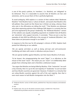is one of this party's policies, its 'members', (i.e. Muslims), are 'obligated' to be dishonest. Thus it is reasonable to assume that all Muslims are liars and extremists, and to accuse them of this is perfectly legitimate.

To avoid ambiguity, SIOE explains in a section of their website titled 'Moderate Muslims?' that Muslims have a 'culture of deceit', and asserts that Muslims who tell pollsters they would not like Sharia law in Britain are lying, whereas those who vote in the affirmative are telling the truth.<sup>32</sup> That Muslims are dishonest only when expressing opinions that challenge SIOE dogma is a curiosity that has yet to be registered by the group's leadership. The 'Moderate Muslims?' section of the website uses equally compelling arguments to establish that all Muslims are 'extremists' who support terrorists. It concludes: 'These are just a very few examples of why SIOE has difficulty in the concept of 'moderate [M]uslims', but these alone are persuasive enough in our belief'.<sup>33</sup>

In response to the One Law for All campaign's criticism of SIOE, Stephen Gash posted the following on our website:

*'We are openly anti-Islam as well as being anti-nazi and anti-communist. Conflating anti-Islam with racism is ridiculous and you know it.* 

*'We are openly hardline against Muslims, but that means Muslims of all races.*

*'To be honest, the misappropriating the word "bigot" is as ridiculous as the misuse of the word "racist". The reason you use "racist" is to deliberately deter people from criticising Islam and is therefore a dishonest reason.*

*'You argue that Muslims are being killed by Muslims. If the "extremists" are such a tiny minority, then it is up to the vast majority of "moderates" to sort out Islam and how Muslim countries are governed. However, if indeed it is a minority that are ruling Muslim countries against the will of the vast majority, then that is even more reason to halt Muslim immigration into the West'.*<sup>34</sup>

<sup>32</sup> 'Moderate Muslims' section of SIOE website, published here: http://sioe.wordpress.com/moderatemuslims/

<sup>33</sup> Ibid.

<sup>34</sup> Stephen Gash, One Law for All website comments section, available here: http://www. onelawforall.org.uk/videos-seminar-on-enemies-not-allies/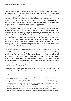Despite clear racism in statements and deeds, Stephen Gash continues to declare that SIOE is non-racist because of its slogan 'Racism is the lowest form of stupidity! Islamophobia is the height of common sense!' and because 'cofounder of SIOE, Anders Gravers has fathered two mixed-race children with two women of different races'.35 These examples further trivialise racism (such as the use of the word 'stupidity' when racism dehumanises, kills and destroys people's lives) and are tactical for purposes of appearance.

The SIOE website publishes articles, which among other things liken the Qur'an to Adolf Hitler's *Mein Kampf*, 36 and declare that *'Islam is coming for you and your family; they are coming for your lands and your homes' [sic]. One such article, posted in April 2009, states that 'Islam has one solution for you; there is not a multiple choice option. It is Submission or annihilation. By Bomb, Bullet, Ballot Box, or Breeding they will subjugate everyone and every country to the will or Allah and his amoral justice. Europe is sitting on a time bomb! Time is fast running out. […] Now is the time to fight for our survival, or perish. Where Islam has put roots NOTHING else has grown! [sic]'*<sup>37</sup>

The SIOE leadership has written in defence of Radovan Karadzic, who is currently on trial for war crimes and genocide.38 In an article entitled 'The Extraordinary Rendition of Radovan Karadzic', they complain that anti-Serb media bias will deny Karadzic a 'fair trial'. It also attempts to justify his actions, remarking that *'The history of muslim oppression of Serbs during the Ottoman empire and the fear of the return of such persecution will not be allowed in Karadzic's defence. The current persecution of Serbs in Kosovo as justification for that fear will not be allowed as evidence' [sic].*<sup>39</sup>

When publically challenged about SIOE's support for Karadzic, Stephen Gash repeated that 'the West' is anti-Serb, and has a pro-Muslim bias which extends

<sup>35</sup> Ibid.

<sup>36</sup> 'From Paradise to Hell', SIOE website, 3rd June 2009, published here: http://sioe.wordpress. com/2009/06/03/from-paradise-to-hell/

<sup>37</sup> 'Danger', SIOE website, 15th April 2009, published here: http://sioe.wordpress.com/2009/04/15/danger/

<sup>38</sup> 'Radovan Karadzic trial recalls siege of Sarajevo', BBC news website, 17th August 2010, available here: http://www.bbc.co.uk/news/world-europe-10998883

<sup>39</sup> 'The Extraordinary Rendition of Radovan Karadzic', SIOE website, 30th July 2008, published here: http://sioe.wordpress.com/2008/07/30/the-extraordinary-rendition-of-radavan-karadic/, available here: http://sioeengland.wordpress.com/2008/07/30/the-extraordinary-rendition-of-radavan-karadic/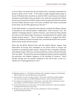as far as Darfur. He stated that this pro-Muslim bias is primarily responsible for Europe's denial of the 'truth'. 'If the media actually stopped being biased in favour of Muslims there would be no need for SIOE to exist because virtually all Europeans would believe what we believe' [sic]. Gash also asserted that 'Anders Gravers was among the first NATO troops to enter Sarajevo [and that] his opinion was that Serbian prisoners were in far worse condition than those incarcerated by the Serbs, but the West glossed over this fact'.<sup>40</sup>

On the SIOE website, in a piece that also expresses contempt for Albania, Kosovo is described as 'the self-proclaimed "independent" state of Kosovo' [sic]. The website's homepage features a sketch of Kosovo, upon which has been painted the colours of the Serbian flag. The picture is accompanied by the caption 'SIOE Support Serbian Kosovo'.41 There is therefore evidence to suggest that SIOE's support for Radovan Karadzic has deep roots, and extends beyond mere concern about trial-by-media and due process.

Much like the British National Party and the English Defence League, Stop Islamisation Of Europe have attempted to use recent events in Europe and elsewhere to manipulate public opinion. Along with their unrequited 'solidarity' with *Jyllands-Posten*, SIOE have commemorated the murder of Dutch filmmaker Theo van Gogh.42 The group has also promulgated conspiracy theories regarding the patriotism and religious allegiance of the President of America,43 which include musings over his possible complicity in the 'BP oil spill' as part of a 'Muslim act of sabotage/terrorism' [sic].<sup>44</sup>

- 42 'Press Release for Immediate Release', SIOE website, 13th October 2007, published here: http:// sioe.wordpress.com/2007/10/13/press-release-for-immediate-release-3/
- 43 'It Didn't Take Obama Long', SIOE website, 27th July 2009, published here: http://sioe.wordpress. com/2009/07/27/it-didnt-take-obama-long/
- 44 'BP Barak's Ploy', SIOE website, 24th July 2010, published here: http://sioe.wordpress. com/2010/07/24/bp-baraks-ploy/

<sup>40</sup> Meleagrou-Hitchens, A., 'The Madness of Stephen Gash', Standpoint magazine, 22nd November 2009, available here: http://standpointmag.co.uk/node/2466

<sup>41</sup> 'Boycott Islamic Countries and Islamic Produce', SIOE website, 28th February 2008, published here: http://sioe.wordpress.com/2008/02/28/boycott-islamic-countries-and-islamic-produce/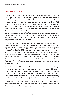### SIOE Political Party

In March 2010, Stop Islamisation Of Europe announced that it 'is now also a political party'. *Stop Islamiseringnen af Europa* describes itself as 'pan-European', and claims to be 'the only political party in Europe that dares address the enemy: Islam'. As the party's 'political statement' explains, *'SIOE recognizes that islam has declared war on the West and therefore we take the necessary precautions to protect our own population. No other Danish politicians have done that previously. […] Every time islam is discussed, all parties in the Danish parliament pull the wool over the eyes of the voters. If we really are in a war with islam why do we make all these special arrangements for islam?'* [sic]. The 'statement' goes on to declare that 'SIOE has the answer' to Denmark's 'civil war-like situations both in Copenhagen and in the biggest towns', which so far 'no politicians have dared to act upon'.

SIOE's 'answer' would include the deportation of 'every immigrant who has committed any kind of criminality' and of 'all immigrants who are not selfsupporting', along with the 'stopping' of 'all government subsidized integration initiatives'. Further, the SIOE manifesto sinisterly promises 'more democracy' in the form of referendums: *'We would never have been caught in this present unhappy situation if the population had been asked whether or not Denmark should be an immigrant country where islam demands special treatment from its host, the Danish population. Therefore SIOE's wish is to implement more democracy. There shall be referendums held about many more things concerning the population'* [sic].

The party also lists '12 proposals that will create peace and order in Europe and give us Europe back politicians have taken from us through 30 years of irresponsible immigration policy' [sic]. It asserts that 'the draft laws will also ensure that the remaining foreigners are integrated properly through assimilation', and that 'the draft laws are easily implemented and will effectively stop the Islamization of Europe' [sic]. The '12 proposals' include the following:

*'A permanent stop to immigration from muslim countries and a temporary stop from other countries until there has been set up an independent inquiry to determine when the Danes are a minority in their own country.*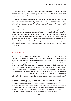[...] Repatriation of disaffected muslim and other immigrants and all immigrant *criminals who have proven that they are unsuitable and the removal from such people of any vested Danish citizenship.*

[...] Those already granted citizenship are to be examined very carefully with *a view to withdrawing citizenship if they have proved unworthy of it because of criminal activities, promoting Sharia law and undermining the Danish constitution.*

While a SIOE-run Denmark would 'make allowances […] for the receipt of genuine refugees', 'non-self-supporting migrants' would be 'repatriated regardless of the situation in their original homelands', as 'Denmark can no longer be responsible for the actions of foreign governments[,] and can no longer be the dumping ground for criminals and agitators from other countries'. Elsewhere in the statement, the authors offer the following summary of their political project: 'In brief, SIOE is a party where the population is of greater concern than the people from outside' 45

### SIOE Protests

In 2009, Stop Islamisation Of Europe organised a series of protests against the building of a mosque in Harrow. The protests were planned to coincide with the eighth anniversary of the 9/11 terrorist attacks.<sup>46</sup> In publicising the events, the group featured a picture of a blood-soaked mosque on its website, which had spears in place of minarets and a helmeted skull for a dome. SIOE explained that 'the Prime Minister of Turkey Recep Tayyip Erdogan, publically read an Islamic poem including the lines: 'The mosques are our barracks, the domes our helmets, the minarets our bayonets and Muslims our soldiers'. To this the group offered the measured response 'HAMMER THEIR HELMETS! BLUNT THEIR BAYONETS!', adding for clarity's sake: '(metaphorical reference to no more mosques)' [sic].<sup>47</sup>

<sup>45</sup> 'SIOE is now also a political party', SIOE website, 7th March 2010, published here: http:// sioe.wordpress.com/2010/03/07/sioe-is-now-also-a-political-party/ , available here: http:// callofthepatriot.blogspot.com/2010/03/sioe-is-now-political-party-in-europe.html

<sup>46</sup> Jones, A., 'Rightwing and Anti-Fascist Protesters Riot in London', The Guardian, 11th September 2009, available here: http://www.guardian.co.uk/world/2009/sep/11/rightwing-anti-fascist-protesters-riot

<sup>47</sup> 'Harrow Stop Mosque Building', SIOE website, 7th October 2009, published here: http://sioe. wordpress.com/2009/10/07/harrow-stop-mosque-buiding-demo-13th-december/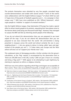The protests themselves were attended by very few people, provoked large counter-demonstrations and ended with several arrests.48 Some of the events were collaborations with the English Defence League,<sup>49</sup> of whom SIOE has said it 'hopes tens of thousands of football supporters join […] to campaign in their unique way'.50 SIOE have since published an EDL 'Official Statement', which urges people to 'mobilise' in support of arrested members.<sup>51</sup>

Like the English Defence League, Stop Islamisation Of Europe has made a special effort to attract Jewish people to its protests, requesting that 'Jews please come to the Harrow demo [and] bring one thousand Israeli flags'. However, they managed to surpass the BNP and EDL by informing Jewish people of the following:

*'If you do not attend this demonstration then you are prepared to see Israel wiped off the map. If you do not attend this demonstration then you are prepared to see Jews removed from the world. Vile anti-Semitism is being preached in mosques across the world and almost certainly the one in your neighbourhood. […] Are you going to demur to being called 'apes and pigs' instead of the people you are? […] If Islam takes over Europe and the West where will Jews run to? Support your friends now!'* [sic].

This unpleasant piece of demagogy provides a further window into the group's calculations, as the 'flag' request is accompanied by the observation that as 'there are 295,000 Jews in the UK[,] surely 1,000 can give 2 hours on a Sunday and bring a flag each!'.<sup>52</sup> SIOE appear to be attempting to gain legitimacy by claiming to represent an ethnic or religious minority.

SIOE have very strict policies regarding which flags and slogans are acceptable at their events. These rules are published frequently, at length and in a number of

- 50 'Clarification of Ant-Islamist Groups in England', SIOE website, 16th September 2009, published here: http://sioe.wordpress.com/2009/09/16/clarification-of-anti-islamist-groups-in-england/
- 51 'Official Statement from the EDL', SIOE website, 22nd February 2010, published here: http://sioe. wordpress.com/2010/02/22/official-statement-from-edl/
- 52 'Jews Please Come to the Harrow Demo', SIOE website, 26th November 2009, published here: http://sioe.wordpress.com/2009/11/26/jews-please-come-to-the-harrow-demo/

<sup>48</sup> 'Rally Turns Violent at London Mosque', ABC News website, 12th September 2009, available here: http://www.abc.net.au/news/stories/2009/09/12/2683928.htm?section=justin

<sup>49</sup> Jones, A., 'Rightwing and Anti-Fascist Protesters Riot in London', The Guardian, 11th September 2009, available here: http://www.guardian.co.uk/world/2009/sep/11/rightwing-anti-fascistprotesters-riot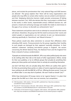places, and include the proclamation that 'only national flags and SIOE banners are allowed'. The group explains that 'there will be many organisations and people who may differ on certain other matters, but are united in anti-Islamism', and that 'displaying distinctive banners might provoke unnecessary ill feeling between marchers' [sic]. SIOE also declare that they 'must project a unified front to the world, in other words, impenetrable armour. Different banners etc. will present a mixed and confusing message and enable the media to stick knives in the gaps of our armour, to discredit our achievements' [sic].<sup>53</sup>

These statements and policies seem to be an attempt to conceal who their events will attract. Elsewhere, the group has felt the need to announce that 'racists and violent people or organisations are not welcome to join our demonstration', referring specifically to 'Stormfront' and 'Blood & Honour'.54

These policies would also allow extremists to conceal their affiliations when attending SIOE events. Pronouncements by the group regarding their hostility to such people are betrayed by their apparent neutrality elsewhere. In their website's statement 'clarifying anti-Islamist groups in England', the section concerning the British National Party, the National Front and the England First Party is devoid of serious condemnation:

*'If people are inclined towards the BNP, NF , EFP or any other political party who seem to do nothing other than ride on the backs of other organisations' efforts, merely*  for their own publicity, or try to infiltrate groups that actually do something then *please join these parties and motivate them to actively do something themselves.* 

Just don't tell those who are actually doing their efforts are useless then spoil it *for them by promoting these parties on videos of events organised by groups who have nothing to do with the BNP, NF, or EFP etc. Offering the lame excuse 'it was not an official video' is one step short of pathetic. We won't hold our breath' [sic].*<sup>55</sup>

While Stop Islamisation Of Europe claims to be 'against Nazism' it is plain that groups like the BNP are in their view not enemies, but competition.

<sup>53</sup> 'SIOE Newsletter', SIOE website, 12th July 2007, published here: http://sioe.wordpress. com/2007/07/12/sioe-newsletter-1/

<sup>54</sup> 'Peaceful 911 Demonstration in Brussels', SIOE website, 30th August 2007, published here: http:// sioe.wordpress.com/2007/08/30/peaceful-911-demonstration-in-brussels/

<sup>55</sup> 'Clarification of Anti-Islamist Groups in England', SIOE website, 16th September 2009, published here: http://sioe.wordpress.com/2009/09/16/clarification-of-anti-islamist-groups-in-england/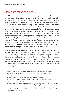## Stop Islamization of America

Stop Islamization of America is a campaign group, best known for its opposition to the proposed Ground Zero Mosque, or Park51 Community Centre in New York.<sup>1</sup> Describing itself as 'a human rights organization dedicated to freedom of speech, religious liberty, and individual rights [with] no special rights for special classes',<sup>2</sup> SIOA occupies the more eccentric wing of the American political right. It was founded by Anders Gravers Pedersen, who enlisted writers Pamela Geller and Robert Spencer to replace its existing leadership in April 2010. Upon announcing SIOA's 'new board', Pedersen explained that *'SIOA has not developed in the direction we wanted. SIOA was meant to be a group that should take action, staging demonstrations, happenings and events against the Islamisation of the*  U.S. The way Stephen and I see it, we need to make SIOA more active. And in *order to do that, we have now — after working for a long time to persuade them to take this on — gotten a yes from both Pamela Geller and Robert Spencer to become the leaders of SIOA. We think they are the right people to bring SIOA to the forefront in the fight against the Islamisation of the U.S.'* [sic].3

Spencer wrote on his website Jihad Watch that these were 'exciting, momentous developments', that 'much more is to come', and that SIOA's board 'plan this to be an activist group'.4 Geller said on her web log Atlas Shrugs that she was 'honored to have been asked by Anders Gravers and Stephen Gash to assume leadership', and 'very excited to work with our 'brothers' in Europe'. 'We are in the planning stages, but look forward to actions, legislation, protests, defense and offense in this war, primarily in the information battlespace. We are in this to win. Be a part of us'.<sup>5</sup>

- 1 Barnard, A., and Feuer, A., 'Outraged, and Outrageous', New York Times, 8th October 2010, available here: http://www.nytimes.com/2010/10/10/nyregion/10geller.html?\_ r=2&pagewanted=a ll
- 2 Bio on SIOA website homepage, available here: http://sioaonline.com/
- 3 'New Leaders of Stop Islamization of America', SIOE website, 2nd April 2010, published here: http://sioe.wordpress.com/2010/04/02/new-leaders-of-stop-islamization-of-america/
- 4 Spencer, R., New Leadership of Stop Islamization of America!', Jihad Watch, 2nd April 2010, available here: http://www.jihadwatch.org/2010/04/new-leadership-of-stop-islamization-of-america.html
- 5 Geller, P., 'New Leadership of Stop Islamization of America', Atlas Shrugs, 2nd April 2010, available here: http://atlasshrugs2000.typepad.com/atlas\_shrugs/2010/04/new-leadership-of-stopislamization-of-america.html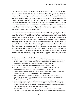Jihad Watch and Atlas Shrugs are part of the Freedom Defense Initiative (FDI),<sup>6</sup> which Spencer and Geller set up in January 20107 'to go on the offensive when legal, academic, legislative, cultural, sociological, and political actions are taken to dismantle our basic freedoms and values': 'FDI acts against the treason being committed by national, state, and local government officials, the mainstream media, and others in their capitulation to the global jihad and Islamic supremacism, the ever-encroaching and unconstitutional power of the federal government, and the rapidly moving attempts to impose socialism and Marxism upon the American people' [sic].<sup>8</sup>

The Freedom Defense Initiative's website refers to SIOE, SIOA, SIAD, the FDI and a number of other 'Stop Islamisation' chapters in aggregate, and names Geller, Spencer and Pedersen as 'leaders' and 'organisers'.9 The relationship between the FDI and SIOE has been symbiotic, with Pedersen appearing on FDI platforms including their 'Ground Zero Mosque' protest<sup>10</sup> and their CPAC event 'Jihad: The Third Political Rail; What They Aren't Telling You'.11 Pamela Geller has described '[her] colleague, partner, dear friend, and European counterpart' Pedersen as a 'European [and] Danish patriot',12 and features links to other 'Stop Islamisation' branches on the SIOA website.13 Geller has also published SIOE's political manifesto on her web log, remarking: 'They have my full support. Excelsior!' [sic].14 SIOE

- 8 FDI website, available here: http://freedomdefense.typepad.com/about.html
- 9 'Global Freedom Initiative', FDI website, 11th November 2010, available here: http:// freedomdefense.typepad.com/fdi/2010/11/global-freedom-initiative-.html
- 10 Anders Gravers Pedersen speech at SIOA rally in New York, June 6th 2010, video available here: http://www.youtube.com/watch?v=n46iyMfM1F8&feature=related
- 11 Geller, P., 'FDI Speaker Spotlight: Anders Gravers, Danish Leader, SIOE FDI CPAC Event…', Atlas Shrugs, 11th February 2010, available here: http://atlasshrugs2000.typepad.com/atlas\_ shrugs/2010/02/speaker-spotlight.html
- 12 Geller, P., 'Anders Gravers, Leader of Stop Islamization of Denmark, Assaulted During Protest', Atlas Shrugs, May 22nd 2010, available here: http://atlasshrugs2000.typepad.com/atlas\_shrugs/2010/05/ anders-gravers-leader-of-stop-the-islamization-of-denmark-anders-gravers-assaulted-during-protest.html
- 13 SIOA website homepage, available here: http://sioaonline.com/
- 14 Geller, P., 'SIOE Announces Formation of Political Party', Atlas Shrugs, March 5th 2010, available here: http://atlasshrugs2000.typepad.com/atlas\_shrugs/2010/03/sioe-announces-formation-of-political-party.html

<sup>6</sup> FDI website, available here: http://freedomdefense.typepad.com/

<sup>7</sup> Geller, P., 'Freedom Defense Initiative Inaugural Event Jihad: The Third Political Rail', Atlas Shrugs, January 26th 2010, available here: http://atlasshrugs2000.typepad.com/atlas\_shrugs/2010/01/ freedom-defense-initiative-inaugural-event-jihad-the-poltiical-third-rail.html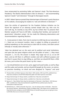have reciprocated by promoting Geller and Spencer's book 'The Post-American Presidency: The Obama Administration's War on America',<sup>15</sup> and recommending Spencer's books<sup>16</sup> and interviews<sup>17</sup> through its Norwegian branch.

In 2007, Robert Spencer posted *Stop Islamiseringen af Danmark*'s party literature on his website, encouraging his readers to 'vote anti-dhimmi in Denmark'.18

Upon the articles of agreement for the Freedom Defense Initiative can be found the signature of an attorney named Joseph John Jay, who runs his own web log. As recently as July 2010, Jay has written that 'to preserve their liberties' people will 'have to kill folks', including their families, and warned of government 'relocation camps'. He has made the following observations and recommendations regarding Muslims:

*'[…] every person in islam, from man to woman to child may be our executioner.*  [...] there are no innocent muslims. Islam is subject to killing on grounds of *political expediency on the same basis as islam kills its victims, and islam cannot ethically or morally claim otherwise'.*<sup>19</sup>

*'islam has declared war on the west and its political and social institutions, and upon the two great religions which are the pillars of same.[…] they mean conquest. […] to me, the answer is simple. they wage war on us, so we kill them, and we kill them in sufficient number and with sufficient purpose and zeal that it causes them to stop killing us, and then we should kill them a little bit more, just to drive the point home. by this i mean.—* 

*[…] we should declare war on iran, syria, egypt and saudi arabia, as well as libya*  and the sudan and somalia, and we should kill people by the scores. no science. *no precision bombing. no shock and awe designed to "impress" and send* 

- 16 Stopp Islamiseringen Av Norge website, available here: http://sian.no/node/214
- 17 Stopp Islamiseringen Av Norge website, available here: http://sian.no/multimedia
- 18 Spencer, R., 'New Political Party Stop the Islamization of Denmark', Jihad Watch, 12th February 2007, available here: http://www.jihadwatch.org/2007/02/new-political-party-stop-theislamization-of-denmark.html
- 19 Bartholomew, R., 'SIOA Co-Founder: Buy Guns…You Are Going to Have to Kill Folks…There Are No Innocent Muslims', Bartholomew's Notes on Religion blog, 10th August 2010, available here: http://barthsnotes.wordpress.com/2010/08/10/sioa-co-founder-buy-guns-you-are-going-to-haveto-kill-folks-there-are-no-innocent-muslims/

<sup>15</sup> 'Pamela Geller and Robert Spencer's New Book', SIOE website, 29th July 2010, published here: http://sioe.wordpress.com/2010/07/29/pamela-geller-and-robert-spencers-new-book/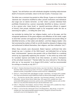*"signals," but old fashion war with wholesale slaughter including indiscriminate death of innocents and babes. down to the last muslim, if necessary' [sic].* 

*The latter was a comment Jay posted on Atlas Shrugs. It goes on to declare that 'domestic law' should be modified to allow 'private institutions and individuals [to] wage war on islamic terrorists', so that 'when a private individual feels justifiably threatened by a person reasonably identified as being a terrorist', or by a person who 'raises funds' or 'spout[s] pernicious silliness in support of terror[,] that private individual ought to be recognized under the law as exercising his rights […] in killing the same'* [sic].

Jay concludes by stating that 'our religious leaders, such as the pope, and the recognized spokesmen of the great religions and affiliations of the world, ought to lend their sanction and approval to both governmental and private killing of identified terrorists, or their aiders and abetters', and that religious leaders 'who feel constrained by matters of faith to not kill should be released of religious duty and authorized to defend themselves, their religions, and their civilization' [sic].<sup>20</sup>

When these remarks were discovered, Robert Spencer confirmed that John Joseph Jay was 'a member of the SIOA board', and defended him as having been 'misinterpreted'. Spencer also posted a link on Jihad Watch to a rambling article by Jay supposedly explaining the remarks.<sup>21</sup> In the article Jay writes that he 'considers' Spencer and Geller to be '[his] mentors', as well as 'champions of the anti-jihad movement'.22 Pamela Geller has since referred to 'the attorney John Jay' as 'my associate' in an August 2010 article, $2<sup>3</sup>$  and has recommended his writings as recently as July 2011.<sup>24</sup>

- 21 Spencer, R., 'Hamas-linked CAIR, Leftist Bloggers Lie Again', Jihad Watch, 11th August 2010, available here: http://www.jihadwatch.org/2010/08/hamas-linked-cair-dhimmi-leftist-bloggers-lie-again.html
- 22 Jay, J., 'The Daily Kos Calls Me 'Killer,' Labels Me a 'Very Disturbed' Individual…The Pot Calls the Kettle Black', Summer Patriot Winter Soldier blog, 10th august 2010, available here: http:// wintersoldier2008.typepad.com/summer\_patriot\_winter\_sol/2010/08/the-daily-kos-calls-me-killerlabels-me-a-very-disturbed-individual-the-pot-calls-the-kettle-black-.html
- 23 Geller, P., 'Rifqa Bary's New Problem', American Thinker, 15th August 2010, available here: http:// www.americanthinker.com/2010/08/rifga\_barys\_new\_problem.html
- 24 Geller, P., 'Lord of the Flies: Machiavelli Comes to the Blogosphere', Atlas Shrugs, 1st July 2011, available here: http://atlasshrugs2000.typepad.com/atlas\_shrugs/2011/07/lord-of-the-fliesmachiavelli-comes-to-the-blogosphere-.html

<sup>20</sup> Geller, P., 'Muslims Mercilessly Tortured the Victims, Jews Got it the Worst', Atlas Shrugs, 30th November 2008, Comment by Jay made at '07:22 pm', available here: http://atlasshrugs2000. typepad.com/atlas\_shrugs/2008/11/mumbai-muslims.html?cid=140889682#tp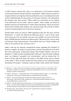In 2005, Spencer opined that 'there is no distinction in the American Muslim community between peaceful Muslims and jihadists. While Americans prefer to imagine that the vast majority of American Muslims are civic-minded patriots who accept wholeheartedly the parameters of American pluralism, this proposition has actually never been proven'. When asked by a commenter on his website 'how distinctions can be made', Spencer replied: 'That's simple. Let American Muslims renounce all attachment to violent Jihad and Sharia, refuse all aid from Sharia states (chiefly Saudi Arabia), and cooperate fully with anti-terror efforts aimed at rooting jihadists out of American mosques'.25

Pamela Geller wrote an article in 2008 regarding Israel and 'the poor, terrorist Palestinians', in which she offered the following advice: 'I say to Israel, stand loud and proud. Give up nothing. Turn over not a pebble. For every rocket fired, drop a MOAB [Massive Ordinance Air Blast bomb]. Take back Gaza. Secure Judea and Samaria. Stop buying *Haaretz*. Throw leftists bums out. Stand straight and walk on. Be worthy of your ancestors' [sic].<sup>26</sup>

Geller's web log has featured conspiratorial articles regarding the President of America's religion, his family, his sexual history, and the circumstances of his birth. One such article posits, among other things, that President Obama is the son of Malcolm X.27 Geller has also complained that 'CNN won't touch the birth certificate issue', nor Obama's 'corruption' and 'anti-Semitism', and has written that 'it's time to tell the ugly truth about the enemy in the White House and his whores in the media'.<sup>28</sup> Some of these articles have been linked to and endorsed by Stop Islamisation Of Europe,<sup>29</sup> including a piece by Geller which asserts that President

- 26 Geller, P. and Saxon, E., 'Indomitable Israel', Arutz Sheva/Israel National News, 11th May 2008, available here: http://www.israelnationalnews.com/Articles/Article.aspx/7968
- 27 Geller, P., 'How Could Stanley Ann Dunham have Delivered Barack Hussein Obama Jr…', Atlas Shrugs, 24th October 2008, available here: http://atlasshrugs2000.typepad.com/atlas\_ shrugs/2008/10/how-could-stanl.html
- 28 Geller, P., 'CNN Tells, Sells More Lies About Palin It's Time To Expose The Truth About Obama', Atlas Shrugs, 1st August 2009, available here: http://atlasshrugs2000.typepad.com/atlas\_shrugs/2009/08/ cnn-tells-sells-more-lies-about-palin-its-time-to-expose-the-truth-about-obama.html
- 29 'BP Barak's Ploy', SIOE website, 24th July 2010, published here: http://sioe.wordpress. com/2010/07/24/bp-baraks-ploy/

<sup>25</sup> Spencer, R., '2 Men in New York and Florida, Charged in Qaeda Conspiracy', Jihad Watch, 30th May 2005, available here: http://www.jihadwatch.org/2005/05/2-men-in-new-york-and-floridacharged-in-qaeda-conspiracy.html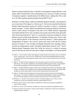Obama secretly revealed that he is a Muslim to the Egyptian Foreign Minister. In the article, Geller remarked that 'This is devastating news, and yet *no media is covering it* (emphasis original). A stealth jihad on the White House', adding that 'This is akin to an SS officer getting elected president during WW II' [sic].<sup>30</sup>

Elsewhere on Atlas Shrugs, Geller has defended Radovan Karadzic, and likened his war crimes trial at The Hague to a 'Sharia court'. She has also asserted that Bosnian Muslims killed themselves during the conflict in question in order to 'manipulate media coverage'.31 Further, Geller has published and endorsed articles by Julia Gorin, which in their criticism of Karadzic's trial refer to the '8000' Muslims supposedly executed by Serbian forces' [sic], and place scare quotes around the word 'genocide' when discussing Srebrenica.<sup>32</sup> Gorin is a 'conservative stand-up comedienne' whose dubious sources include Andy Wilcoxson<sup>33</sup> of slobodan-milosevic.org.<sup>34</sup> Gorin is also on the 'Advisory Board' of the 'American Council for Kosovo',35 which opposes the independence of Kosovo. The 'Council' asserts that what it still calls the 'Serbian province of Kosovo'36 was 'forcibly and illegally detached from sovereign Serbia', and that its independence would 'strengthen global jihad terrorism' [sic].37 Gorin's 'Advisory Board' biography states that 'while she writes on a variety of pressing issues of the day, her most oft-returned-to subject is the Balkans, an interest ignited

- 31 Geller, P., 'The Real Criminals Presiding Over The International Criminal Court Part II of Nuremberg II', Atlas Shrugs, 11th July 2010, available here: http://atlasshrugs2000.typepad.com/atlas\_shrugs/2010/07/ the-real-criminals-presiding-over-the-international-criminal-court-part-ii-of-nuremberg-ii.html
- 32 Geller, P., 'Canadian PM Steven Harper, Leader of the Free World, Vetoes Bosnian Lie Resolution', Atlas Shrugs, 11th August 2010, available here: http://atlasshrugs2000.typepad.com/atlas\_shrugs/2010/08/ canadian-pm-steven-harper-leader-of-the-free-world-vetoes-bosnian-lie-resolution.html
- 33 Geller, P., 'The Real Criminals Presiding Over The International Criminal Court Part II of Nuremberg II', Atlas Shrugs, 11th July 2010, available here: http://atlasshrugs2000.typepad.com/atlas\_shrugs/2010/07/ the-real-criminals-presiding-over-the-international-criminal-court-part-ii-of-nuremberg-ii.html
- 34 Wilcoxson, A., 'Karadzic Cross-Examines Harland', Slobodan-milosevic.org, 15th June 2010, available here: http://www.slobodan-milosevic.org/news/kt050710.htm
- 35 'Advisory Board' section of ACK website, available here: http://www.savekosovo.org/default. asp?p=1&au=advisory
- 36 'About Us' section of ACK website, available here: http://www.savekosovo.org/default.asp?p=1
- 37 'Kosovo: Questions and Answers' section of ACK website, available here: http://www.savekosovo. org/default.asp?p=2&qa=6

<sup>30</sup> Geller, P., 'I Am A Muslim, Obama Tells Egyptian Foreign Minister Gheit Islamic Coup on the White House', Atlas Shrugs, 12th June 2010, available here: http://atlasshrugs2000.typepad.com/atlas\_ shrugs/2010/06/-obama-tells-egyptian-foreign-minister-i-am-a-muslim-stealth-coup-on-the-whitehouse.html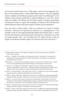by the bizarre American-led war in 1999 against world war ally Yugoslavia' [sic]. Also on the 'Advisory Board' is SIOA leader Robert Spencer,38 who has published articles in defense of the Milosevic project by both Gorin $39$  and Wilcoxson $40$  on his website. Further, Spencer promoted an article by Wilcoxson in June 2011 which, under the headline 'UN officials and the Muslim regime in Sarajevo orchestrated the Srebrenica massacre', argues that everybody is to blame for the 1995 genocide (which Wilcoxson denies took place) except its Serbian fascist perpetrators.41

Since the arrest of Ratko Mladic, Geller has reaffirmed her denial of Serbian atrocities, $42$  referring to the genocide at Srebrenica as a 'propaganda lie'. $43$  She considers it part of 'the ongoing blood libel against the Christian Serbs',44 asserts that 'the international community jumped to manufacture a 'genocide' of a couple of hundred people' [sic],45 and concludes that 'the whole premise of why we fought for the Bosnian Muslims against the Christian Serbs was a big fat lie'.46

- 40 Wilcoxson, A., 'Setting the Record Straight on Bosnia', Jihad Watch, 12th March 2011, available here: http://www.jihadwatch.org/2011/03/setting-the-record-straight-on-bosnia.html
- 41 Spencer, R., 'UN officials and the Muslim regime in Sarajevo orchestrated the Srebrenica massacre', Jihad Watch, June 30th 2011, available here: http://www.jihadwatch.org/2011/06/unofficials-and-the-muslim-regime-in-sarajevo-orchestrated-the-srebrenica-massacre.html
- 42 Geller, P., 'Distorting History', Atlas Shrugs, 4th June 2011, available here: http://atlasshrugs2000. typepad.com/atlas\_shrugs/2011/06/mladics-record-distorted.html
- 43 Geller, P., 'Bosnia: A War Story', Atlas Shrugs, 9th June 2011, available here: http://atlasshrugs2000. typepad.com/atlas\_shrugs/2011/06/bosnia-a-war-story-more-back-up-debunking-the-big-lies.html
- 44 Geller, P., 'For the First Time upon the Capture of a Wanted Serb', Atlas Shrugs, 7th June 2011, available here: http://atlasshrugs2000.typepad.com/atlas\_shrugs/2011/06/for-the-first-time-uponthe-capture-of-a-wanted-serb-a-news-broadcast-questions-the-evidence.html
- 45 Geller, P., 'Distorting History', Atlas Shrugs, 4th June 2011, available here: http://atlasshrugs2000. typepad.com/atlas\_shrugs/2011/06/mladics-record-distorted.html
- 46 Geller, P., 'Bosnia: A War Story', Atlas Shrugs, 9th June 2011, available here: http://atlasshrugs2000. typepad.com/atlas\_shrugs/2011/06/bosnia-a-war-story-more-back-up-debunking-the-big-lies.html

<sup>38 &#</sup>x27;Advisory Board' section of ACK website, available here: http://www.savekosovo.org/default. asp?p=1&au=advisory

<sup>39</sup> Gorin, J., 'Jihadists vs Anti-Jihadists: Something Else At Work', Jihad Watch, 13th March 2011, available here: http://www.jihadwatch.org/2011/03/julia-gorin-anti-jihadists-vs-anti-jihadistssomething-else-at-work.html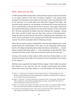## SIOA, SIOE and the EDL

In 2009, Pamela Geller praised SIOE's demonstrations against what she described as 'an Islamic fortress in the heart of Harrow, England',<sup>47</sup> and quoted select passages from the group's press release for the event, which she published in full on her web log.48 In an article titled 'Jews Who Won't Support Their Allies', she censured Jewish people for not attending, and blamed the Community Security Trust's condemnation of the protest for this occurrence: 'Once again, leftist Jews were lying and deceiving to advance the aims of the enemies of Jews and Jewish life'. She then excoriated the Rabbis who had 'attacked the campaign', writing that 'these morally ill rabbis have lost their basic instinct of self-preservation'. Finally she denounced the *Jewish Chronicle* for 'gloat[ing] when attendance was small', and accused them of not covering stories which the Chronicle had in fact covered. Her article concluded with the following remarks:

*'Much like the Jewish councils of World War II Germany that helped assist in what would become the extermination of the Jews, we are witnessing Jewish groups like the CST aiding and abetting Islamic jihad and Islamic anti-Semitism. […] Jewish history is littered with these traitors. […] Jews should have stood with SIOE. These cowards put all Jews at risk. If you are too scared to stand up, then shut up!'.*<sup>49</sup>

Linking to this article on their website, SIOE wrote that 'Pamela Geller is a true friend and staunch ally of SIOE and we thank her from the bottom of our hearts for her support'.<sup>50</sup>

SIOA have also supported the English Defense League. Pamela Geller has posted EDL literature on her web log, and has strongly recommended that readers attend their events: 'Any Atlas readers in or around Dudley? GO! Get thee to the

<sup>47</sup> Glazov, J., 'Collaborators in England in the War Against the Jews', FrontPage Magazine, 22nd December 2009, available here: http://frontpagemag.com/2009/12/22/collaborators-in-england-inthe-war-against-the-jews-by-jamie-glazov/

<sup>48</sup> Geller, P., 'December 13: Stop the Islamisation of Europe UK Event', Atlas Shrugs, 26th November 2009, available here: http://atlasshrugs2000.typepad.com/atlas\_shrugs/2009/11/december-13 stop-the-islamisation-of-europe-uk-event.html

<sup>49</sup> Geller, P., 'Jews Who Won't Support Their Allies', American Thinker, 21st December 2009, available here: http://www.americanthinker.com/2009/12/jews\_who\_wont\_support\_their\_al.html

<sup>50 &#</sup>x27;Support From Pamela Geller to SIOE', SIOE website, 23rd December 2009, published here: http:// sioe.wordpress.com/2009/12/23/support-from-pamela-geller-to-sioe/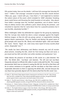EDL protest today. Here are the details. I will have full coverage late Saturday NY time'.51 Geller's 'full coverage' consisted of praise for the EDL's Jewish division ('Bless you, guys. I stand with you. I love them'.),<sup>52</sup> and neglected to mention the violent nature of the event, which included its '2000' attendees 'breaking down metal fences and throwing the metal brackets at riot police'. Also absent from Geller's coverage were the 'terrified' population, one of whom 'tried to help an elderly woman who suffered a panic attack during the protests', and remarked to reporters that he 'came down here for a peaceful protest[,] but it was horrible, absolutely horrible'.<sup>53</sup>

When challenged, Geller has defended her support for the group by explaining that the '*corrupt, bias media has done a smear campaign against the English Defense League, as they do with any group, person, or organization standing against Islamic supremacism. They tar, feather and destroy the good name of good people who stand for life, liberty and individual rights. Libel and slander like 'racist,' 'fascist,' 'bigot,' etc. color every news report of every counter jihad action. Despicable'* [sic]. 54

*'The media has been defamatory and libelous towards any and all counter jihad activists, including the EDL, which far from being neo-Nazi and racist, is pro-Israel and has Sikh and other non-white members and spokesmen'* [sic].

Geller blames the presence of neo-Nazis at EDL events on a plot between 'the left', 'the British elite', 'neo-Nazis' and Islamists: *'The left and real neo-Nazis frequently attempt to infiltrate EDL rallies in order to discredit the EDL. This is amply documented. Both have an interest in seeing the EDL fail: the left so that there will be no serious resistance to its agenda, and the neo-Nazis so that there exists no respectable alternative to them in opposing the British elite, and also because the neo-Nazis have generally aligned with the Islamic jihad that the EDL resists'* [sic].

- 51 Geller, P., 'EDL Protest Today Against Islamic Supremacism and Sharia in the UK', Atlas Shrugs, April 3rd 2010, available here: http://atlasshrugs2000.typepad.com/atlas\_shrugs/2010/04/edlprotest-against-islamic-supremacism-and-sharia-today-in-the-uk.html
- 52 Geller, P., 'The EDL Jewish Division', Atlas Shrugs, July 18th 2010, available here: http:// atlasshrugs2000.typepad.com/atlas\_shrugs/2010/07/the-edl-jewish-defense-division.html
- 53 Jamieson, A., 'Violent Clashes at Mosque Protest', Telegraph, 3rd April 2010, available here: http:// www.telegraph.co.uk/news/uknews/immigration/7549964/Violent-clashes-at-mosque-protest.html
- 54 Geller, P., 'The English Defense League in their Own Words', Atlas Shrugs, 28th February 2010, available here: http://atlasshrugs2000.typepad.com/atlas\_shrugs/2010/02/the-english-defenseleague-in-their-own-words.html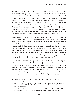Having thus established to her satisfaction that all the group's attractive characteristics are genuine, and that all evidence to the contrary is a 'media smear' or the work of 'infiltrators', Geller defiantly announces that *'the left is attempting to split the counter jihad movement. They want me to distance myself from brave souls fighting Islamic supremacism. N-O-T G-O-I-N-G T-O H-A-P-P-E-N. If I lived in England, I would surely be active in the EDL Jewish division. Members of the EDL will be attending our rally to stop the Ground Zero Islamic supremacist mosque on September 11th (be there)'* [emphasis original].55 Members of the EDL accepted Geller's invitation and attended SIOA's 'Ground Zero Mosque' event. However, Tommy Robinson was 'refused entry at JFK airport, taken into custody and flown straight back to the UK'.<sup>56</sup>

Robert Spencer has also praised the EDL, proclaiming that 'the EDL are standing up for human rights, for the freedom of speech, for Western civilization, for Israel, and for the defense against the global jihad and the Islamization of Britain'. He went on to state that 'there is no credible evidence that this group is racist or fascist in the slightest degree', and that the EDL 'is standing as a virtually unarmed David against a Goliath of the British establishment, government media and police muscle': 'They are being vilified and smeared as well as brutalized and railroaded. Yes, it has come to this quickly, and all free people who are in the U.S. and elsewhere should take careful note, because it is happening quickly here as well. The EDL deserves the support of all free people'.<sup>57</sup>

Spencer has defended his organisation's support for the EDL, making the following statement: 'I don't believe [the EDL] are neo-fascist white supremacists [...] There is no way Pamela Geller or I would ever work with, endorse, or approve of any genuine neo-fascist or white supremacist individual or group in any way, shape or form'. Thus Spencer contends that the EDL cannot possibly be 'neo-fascist or white supremacists', by virtue of their having won his endorsement and approval. These comments were part of a typically evasive reply to an article

<sup>55</sup> Geller, P., 'Newsweek on the EDL', Atlas Shrugs, 31st August 2010, available here: http:// atlasshrugs2000.typepad.com/atlas\_shrugs/2010/08/newsweek-on-the-edl.html

<sup>56</sup> Booth, R., 'English Defence League Members Attend New York Mosque Protest', Guardian, 12th September 2010, available here: http://www.guardian.co.uk/uk/2010/sep/12/english-defenceleague-mosque-protest

<sup>57</sup> Spencer, R., 'EDL Stands Up Against Fascists in Britain', Jihad Watch, 6th March 2010, available here: http://www.jihadwatch.org/2010/03/edl-stands-up-against-fascists-in-britain.html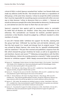critical of SIOA, in which Spencer remarked that *'neither I nor Pamela Geller ever made any alliances [with] the EDL. That should not be taken as a repudiation of [the] group; at the same time, however, I refuse to accept the Leftist contention that I must be responsible for everything anyone connected with either one ever says or does because I refuse to denounce them as a whole. […] because we would not denounce people [the writer] demanded we denounce, he denounced us, and claimed we were far closer to them than we ever were'*. 58

Spencer's argument here against guilt by association seems to contradict his belief that all Muslims are 'Jihadists' unless they prove themselves to be otherwise. This contradiction can however be resolved, provided Spencer's contention is that Muslims should be judged by a different standard to other members of society.

In June 2011 Pamela Geller 'withdrew her support' for the EDL, claiming that the group had been 'infiltrated' by neo-Nazi and anti-Semitic elements, and that this had caused it to 'morph and diverge from its original course'.59 She was echoed by Robert Spencer, who wrote that he 'agree[d] wholeheartedly' with her statement.<sup>60</sup> The pair then received and published a response from the EDL which stressed the group's fondness for Israel, as well as its opposition to anti-Semitism, fascism and racism.6162 Following correspondence with the EDL's Tommy Robinson, (whom she recently praised as a mensch),<sup>63</sup> Geller reversed her decision to 'withdraw support'. While 'deeply concerned about the hijacking of

- 58 Spencer, R., 'Hateblogger Charles Johnson Lies About Pamela Geller in The Guardian', Jihad Watch, 14th October 2010, available here: http://www.jihadwatch.org/2010/10/hateblogger-charlesjohnson-lies-about-pamela-geller-in-the-guardian.html
- 59 Geller, P., 'EDL Shake-up', Atlas Shrugs, 30th June 2011, available here: http://atlasshrugs2000. typepad.com/atlas\_shrugs/2011/06/edl-shake-up.html
- 60 Spencer, R., 'Change for the worse at the EDL', Jihad Watch, 29th June 2011, available here: http:// www.jihadwatch.org/2011/06/change-for-the-worse-at-the-edl.html
- 61 Geller, P., 'Tommy Robinson, EDL Chief: 'Any Rogue Elements', Atlas Shrugs, 30th June 2011, available here: http://atlasshrugs2000.typepad.com/atlas\_shrugs/2011/06/tommy-robinson-anyrogue-elements-within-the-edl-that-go-against-our-mission-statement-will-be-remov.html
- 62 Spencer, R., 'EDL Leader: We repudiate any individual, group or writing', Jihad Watch, 30th June 2011, available here: http://www.jihadwatch.org/2011/06/edl-leader-we-repudiate-any-individualgroup-or-writing-that-favors-anti-Semitism-neofascism-and-any.html
- 63 Spencer, R., 'Groundswell of support for Geller and Spencer on EDL', Jihad Watch, 3rd July 2011, available here: http://www.jihadwatch.org/2011/07/groundswell-of-support-for-geller-andspencer-on-edl.html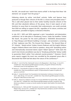the EDL', she would now 'watch how events unfold' in the hope that these 'vile elements' are 'purged' from the group.<sup>64</sup>

Following attacks by online 'anti-Jihad' activists, Geller and Spencer have postured as though their criticism of the EDL is a brave and principled action.<sup>65</sup> This is odd when placed next to their earlier hostility towards criticism of the EDL and their absolutist defence of the group. Since it took reports of anti-Semitism to cause them to reconsider their endorsements, one could conclude that SIOA are willing to support the EDL, regardless of its nature, activities and associations, provided its bigotry is directed at Muslims.

In July 2011, SIOE and SIOA organised a joint 'transatlantic anti-Islamization conference' set to take place in Strasbourg, France. Under the headline 'United We Stand', the poster for the event publicised a 'SIOA/SIOE demonstration' to 'Stop Mosque and Minaret building in Europe', and promoted a screening of their 'explosive new film: The Ground Zero Mosque - The Second Wave of 911 Attacks'. 'Noted activist' Anders Gravers Pedersen and the English Defence League's Roberta Moore were listed as speakers, along with 'bestselling author and internationally renowned Islamic expert' Robert Spencer.66 SIOA claim the event's last minute cancellation was due to 'Strasburg authorities' being 'unable to quarantee [their] safety' from planned counter-protests.<sup>67</sup> However, French press reports suggest the event was cancelled by the proposed venue after it discovered that SIOA had lied about the nature of the conference. $68$ 

- 66 Geller, P., 'United We Stand: First Transatlantic Anti-Islamization Conference Coming To France July 2', Atlas Shrugs, 21st June 2011, available here: http://atlasshrugs2000.typepad.com/atlas\_ shrugs/2011/06/united-we-stand-.html
- 67 Geller, P., 'Democracy Collapses In Europe: EU Cancels SIOA/SIOE Free Speech Rally', Atlas Shrugs, June 28th 2011, available here: http://atlasshrugs2000.typepad.com/atlas\_shrugs/2011/06/ democracy-collapses-in-europe-eu-cancels-sioasioe-free-speech-rally-freedom-from-jihad-flotillato-l.html
- 68 Bartholomew, R., 'SIOA and SIOE 'Transatlantic Summit' Cancelled', Bartholomew's Notes On Religion blog, 2nd July 2011, available here: http://barthsnotes.wordpress.com/2011/07/02/sioaand-sioe-transatlantic-summit-cancelled/

<sup>64</sup> Geller, P., 'Lord of the Flies: Machiavelli Comes to the Blogosphere', Atlas Shrugs, 1st July 2011, available here: http://atlasshrugs2000.typepad.com/atlas\_shrugs/2011/07/lord-of-the-fliesmachiavelli-comes-to-the-blogosphere-.html

<sup>65</sup> Spencer, R., 'Groundswell of support for Geller and Spencer on EDL', Jihad Watch, 3rd July 2011, available here: http://www.jihadwatch.org/2011/07/groundswell-of-support-for-geller-andspencer-on-edl.html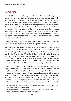## Conclusion

The July 2011 atrocity in Norway has put the spotlight on the far-Right once more. There are numerous organisations and political parties with similar platforms to that of Anders Behring Breivik, which have gained and are gaining influence, including winning parliamentary seats. This is due to a number of factors, including the unprecedented attack on people's welfare and livelihood, the respectability afforded anti-immigrant policies, the 'war on terror', appeasement, the ethno-cisation of the world, and multi-culturalism - not as a positive lived experience, but as a social policy that has segregated communities and the world. Today people everywhere are divided into religions, cultures, nationalities, and ethnicities and our humanity, universalism and citizenship have been deemed irrelevant.

Though the far-Right appears to target Islamism, they are two sides of the same coin. Islamism is also very much an extreme Right movement.

And whilst there are obvious differences within far-Right and Islamist groups as there are in any phenomenon, the differences are not fundamental. The 'hate cleric' Anjem Choudhary supports stoning to death as do more 'liberal' Islamists like Tariq Ramadan.<sup>1</sup> The 'liberals' have merely adapted their language and changed tactics to better dupe public opinion. The same is true with the far-Right. There is fundamentally little difference between Anders Behring Breivik's Knights Templar and the EDL or SIOE. What they want is the same; their tactics are different. The EDL and SIOE are merely better at duping the public.

In his 1500 page European Declaration of Independence, Brevik says, 'Organisations like EDL, doesn't have an **official** extreme political doctrine [emphasis ours]. When they "bait" the UAF, and Jihadi youth (in the thousands) in to rioting, they ensure that the riots are covered by national and international press…. It also results in increased polarisation. Is it really that bad that more Europeans are shocked out of their slumber?' He adds later, 'Instead of condemning and rejecting organisations like EDL it is essential that conservative intellectuals contribute to help them on the right ideological path'.<sup>2</sup> Clearly, the

 <sup>1</sup> '40 reasons why Tariq Ramadan is a reactionary', Workers' Liberty, 26th July 2007, available here: http://www.workersliberty.org/node/4004

 <sup>2</sup> 'A European Declaration of Independence', Anders Behring Breivik, 2011, available here: http:// info.publicintelligence.net/AndersBehringBreivikManifesto.pdf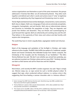various organisations see themselves as part of the same movement; the groups addressed in 'Enemies Not Allies' are all mentioned by Breivik. They often work together and defend each other's words and actions (even if 'only' to legitimise atrocities by explaining why they happened and threatening more to come).

The far-Right and Islamists have similar ideologies, characteristics, tactics and aims. Both rely on religion. Both use a language of hate and are extremely xenophobic, misogynist, homophobic, and anti-Semitic. Both rely on indiscriminate violence and terrorism to intimidate the population at large. They are dogmatic and punish free thinkers and dissenters. They use threats and scaremongering to push forward their agenda. Both are vehemently anti-working class and the Left. They believe in the superiority of their views and culture and deal harshly with anyone who transgresses...

The world they have in mind is equally bleak, segregated, hateful and inhuman.

#### **Religion**

Much of the language and symbolism of the far-Right is Christian, and makes reference to the crusades. The BNP's Nick Griffin has spoken of a 'traditional, upright, decent and honest Christianity that defended Europe from Islamic conquest, the Christianity of the Crusades and the Christianity of our forefathers'.<sup>3</sup> The EDL's Tommy Robinson has said, 'We don't care whether you arrived here yesterday, you are welcome to protect our Christian culture and our way of life'.4 Similarly, Islamists use Islam as their banner and call for Sharia law and the Caliphate.

#### **Misogynist**

Nick Eriksen, until recently the BNP's London organiser, has said: 'Rape is simply sex. Women enjoy sex, so rape cannot be such a terrible physical ordeal. To suggest that rape, when conducted without violence, is a serious crime is like suggesting that force-feeding a woman chocolate cake is a heinous offence'.5

 <sup>3</sup> Easter message from BNP chairman hits the mark, Stormfront.org, July 2006, available here: http://www.stormfront.org/forum/t696276/

 <sup>4</sup> 'Tommy Robinson's speech at EDL Leicester Demonstration', 2010, video available here: http:// www.youtube.com/watch?v=z2VrK8EAHuU

<sup>5</sup> 'Five reasons not to vote BNP', Mirror, 5th May 2010, available here: http://www.mirror.co.uk/ news/politics/features/2010/05/05/5-reasons-not-to-vote-bnp-115875-22233649/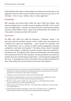Sheikh Maulana Abu Sayed, a Sharia judge, has similarly said marital rape is 'not aggression because when they got married, sexual intercourse was part of the marriage'. In fact, he says, 'calling it rape is a major aggression'.6

#### **Homophobic**

BNP candidate and activist Mark Collett has said of AIDS that 'Blacks, drug abusers and gays have it. So really, I've got no problem with AIDS. In fact I would call it a friendly disease'.7 Likewise, the Islamic Education and Research Academy chairman, Abdur-Raheem Green, argues that homosexuality and adultery are 'inexcusable, and justly punished with severity'.8

#### **Anti-Semitic**

The BNP's Nick Griffin has called the holocaust a "Holohoax" saying: 'I am well aware that the orthodox opinion is that 6 million Jews were gassed and cremated and turned into lampshades... I have reached the conclusion that the "extermination" tale is a mixture of Allied wartime propaganda, extremely profitable lie, and latter witch-hysteria'.9 The Islamic scholar Yusuf Al Qaradawi who has been hailed as 'progressive' by former London mayor Ken Livingstone,<sup>10</sup> has likewise said: 'Throughout history, Allah has imposed upon the (Jews) people who would punish them for their corruption. The last punishment was carried out by Hitler. By means of all the things he did to them – even though they exaggerated this issue – he managed to put them in their place. This was divine punishment for them. Allah willing, the next time will be at the hand of the believers'.11

- 7 'Dispatches: Young, Nazi and Proud', Channel 4, 4th November 2002
- 8 'Ibis Hotel hosts anti-gay preachers', Harry's Place, 14th January 2011, available here: http:// hurryupharry.org/2011/01/14/ibis-hotel-hosts-anti-gay-hate-preachers/
- 9 BBC News website profile, available here: http://news.bbc.co.uk/hi/english/static/in\_depth/ programmes/2001/bnp\_special/the\_leader/beliefs.stm
- 10 'Mayor justifies cleric's welcome', BBC News, 11th January 2005, available here: http://news.bbc. co.uk/1/hi/4165691.stm
- 11 Guardian Blog whitewashes Al-Qaradawi', Harry's Place, 22nd February 2011, available here: http://hurryupharry.org/2011/02/22/guardian-live-blog-whitewashes-al-qaradawi/

<sup>6</sup> 'UK Sharia Chief, There is no such thing as rape within Marriage', The Somosa, 6th October 2010, available here: http://www.thesamosa.co.uk/index.php/news-and-features/society/431-uk-shariachief-there-is-no-such-thing-as-rape-within-marriage.html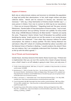#### **Support of Violence**

Both rely on indiscriminate violence and terrorism to intimidate the population at large and justify their abominations. In fact, both target civilians and place collective blame. Breivik said his massacre in Norway was 'atrocious but necessary'.12 John Jay, a Stop Islamization of America board member says '[…] every person in [I]slam, from man to woman to child may be our executioner. [...] there are no innocent [M]uslims'.<sup>13</sup> Regarding Israel and 'the poor, terrorist Palestinians', Pamela Geller of Stop Islamization of America states, 'I say to Israel, stand loud and proud. Give up nothing. Turnover not a pebble. For every rocket fired, drop a MOAB [Massive Ordinance Air Blast bomb]'.14 Islamists are exactly the same. 'Progressive' Islamic Scholar Yusuf Al-Qaradawi has justified suicide bombings by saying: 'Israeli women are not like women in our society because Israeli women are militarised'.15 Even when they renounce violence for public consumption, the violence is always justified. The EDL's Tommy Robinson has said about a May 2011 attack of a meeting attended by Labour councillors and the National Union of Teachers in Barking, 'I would condemn the attack if there was any violence. But I can completely understand their frustration. People are so fed up with the leftist agenda'.16

#### **Use of Threats and Scaremongering**

Suhaib Hasan, Secretary General of the Islamic Sharia Council says, 'If Sharia law is implemented, then you can turn this country into a haven of peace because once a thief's hand is cut off nobody is going to steal. Once, just only once, if

- 14 Geller, P. and Saxon, E., 'Indomitable Israel', Arutz Sheva/Israel National News, 11th May 2008, available here: http://www.israelnationalnews.com/Articles/Article.aspx/7968
- 15 'Yusuf Al-Qaradawi tells BBC Newsnight that Islam justifies suicide bombings', BBC Press Office, 7th July 2004, available here: http://www.bbc.co.uk/pressoffice/pressreleases/stories/2004/07\_ july/07/newsnight.shtml
- 16 'Hooded thugs attack office before meeting in Barking', Barking and Dagenham Post, 26th May 2011, available here: http://www.bdpost.co.uk/news/hooded\_thugs\_attack\_office\_before meeting in barking 1 903835

<sup>12</sup> 'Profile: Anders Behring Breivik', BBC News, 25 July 2011, available at: http://www.bbc.co.uk/news/ world-europe-14259989

<sup>13</sup> Bartholomew, R., 'SIOA Co-Founder: Buy Guns…You Are Going to Have to Kill Folks…There Are No Innocent Muslims', Bartholomew's Notes on Religion blog, 10th August 2010, available here: http://barthsnotes.wordpress.com/2010/08/10/sioa-co-founder-buy-guns-you-are-going-to-haveto-kill-folks-there-are-no-innocent-muslims/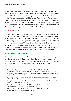an adulterer is stoned nobody is going to commit this crime at all. We want to offer it to the British society. If they accept it, it is for their good and if they don't accept it they'll need more and more prisons'.17 In a July 25th 2011 interview on the Norwegian atrocity, the EDL's Tommy Robinson said, 'We are against extremism and all kinds of violence but you need to listen. God forbid this ever happens on British soil. It's a time coming. You're probably five or ten years away... I believe it could and it's not a threat, it's a wakeup call to say listen we don't want this to happen but we need to address the problem'.18

#### **Use of victim status**

The EDL's Tommy Robinson has spoken of the Emblem of St George being banned at a school<sup>19</sup> and said at a rally that the EDL was formed '...To combat a two-tier system. One rule for them, and another rule for us. And it's true, it's oppression. That's exactly what it is. It's apartheid. Its kid gloves for their community, and iron fist for our community'.<sup>20</sup> Islamists and their apologists do this all the time. Mehdi Hassan, the political editor of New Statesman, likens criticism of Lutfur Rahman - the new Mayor of the London Borough of Tower Hamlets who has close links with the extremist Islamic Forum of Europe - to McCarthyism.21

#### **Use of Islamophobia and racism**

Both the far-Right and Islamists have co-opted rights and anti-racist language to gain legitimacy. Far-Right groups will say they are not racist to evade scrutiny and even invite non-whites to join. Islamists speak of Islamophobia and the 'right' to Sharia law in a bid to silence criticism by labelling it racism.

- 18 Tommy Robinson interview on BBC2, 25th July 2011, available here: http://www.youtube.com/ watch?v=4RdJ4dpRQeE
- 19 'Tommy Robinson speaks at EDL rally in Luton', 6th February 2011, video available here: http:// www.youtube.com/watch?v=GcpHR8Lrnd8
- 20 'Tommy Robinson speech at Leicester EDL Rally', October 2010, video available here: http://www. youtube.com/watch?v=IhDo5TCcaVc&feature=player\_embedded#
- 21 Meleagrou-Hitchens, A., 'Who Are the Real McCarthyites?' 24th November 2010, Standpoint, available here: http://standpointmag.co.uk/node/3618

<sup>17</sup> 'Divorce, Sharia Style', Channel 4, February 2008: video available here: http://video.google. ca/videoplay?docid=7551240419498830429# and 'We want to offer Sharia law', The Telegraph, 20th January 2008, available here: http://www.telegraph.co.uk/news/uknews/1576066/We-wantto-offer-sharia-law-to-Britain.html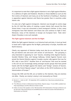It's important to note that a fight against Islamism is not a fight against Muslims; it's a defence of rights and freedoms. Muslims or those labelled as such are the first victims of Islamism and many are at the forefront of battling it. Nowhere is opposition against Islamism and Sharia law greater than in countries under Islamic rule.

It is also not a fight against immigrants. Islamism was brought to centre stage by the US Cold War policy of creating a green Islamic belt around the then Soviet Union. It was not concocted in some immigrant's kitchen. In fact, many immigrants have fled Islamism and Sharia law and continue to fight it here. Moreover, many of the Islamists in Europe are European born. 'Hate cleric' Anjem Choudary is one such example.

#### **The Fight against Islamism and the Far-Right**

Whilst the fight against Islamism is an historical task and duty, it must go hand in hand with a fight against the far-Right, particularly in Europe, Australia and North America.

Clearly, any opponent of Islamism today must also be an anti-fascist, but not the pro-Islamist and anti-racist Left version of anti-fascism. This grouping is only interested in opposing its 'own' fascists, including Unite Against Fascism, Socialist Workers Party, and George Galloway. United Against Fascism even joined the Islamist Muslims against Crusades counter rally against One Law for All's rally in June 2010.22 Another form of 'anti-fascism' that must be resisted is the sort we are increasingly seeing amongst secular groups that have joined hands with the far-Right against the Islamic and 'foreign' versions of fascism, such as the French Riposte Laigue<sup>23</sup> and others at the 2010 Conference on the Islamicisation of Europe.24

Groups like SIOE and the EDL are as hateful as the Islamists; they are enemies not allies. Clearly, our enemy's enemy is not necessarily our friend.

<sup>22</sup> Barnett, A., 'Letter to UAF', 7th September 2010, available here: http://www.onelawforall.org. uk/uaf-letter/

<sup>23</sup> 'The Offensive of Islam in Multicultural Great Britain, Riposte Laique, 15 June 2009, available here: http://ripostelaique.com/The-offensive-of-Islam-in.html

<sup>24</sup> Videos of some of the speakers at the 18th December 2010 Islamisation of Europe conference can be seen here: http://www.bivouac-id.com/billets/suivez-en-direct-les-assises-internationales-surlislamisation-sur-internet/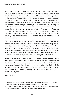According to women's rights campaigner, Rahila Gupta, *'Recent anti-racist alliances, such as the one against the EDL in Tower Hamlets, which includes Socialist Workers Party and the East London Mosque, reveals the capitulation of the left to the fascists within while organising against the fascists without. We should be sophisticated enough by now to construct a politics that is simultaneously anti-racist and anti-fundamentalist so that vulnerable groups*  like women, lesbians and gays and religious minorities do not get hung out *to dry. As feminists we have been abandoned by those who should have been supporting our right to make 'legitimate criticism'. They feel now, during the War on Terror, is not the right time. In a racist society, it is never the right time.*  When we expose the underbelly of our communities we are told that we are *providing ammunition for racists. For us it isn't a choice. We can't hide one evil to fight another'.*<sup>25</sup>

This fight also includes challenging multi-culturalism, which the far-Right and Islamism use to show that the 'other' is different, thereby validating identity, separation and 'clash of civilisations' politics. The idea of difference has always been the fundamental principle of a racist agenda. The defeat of Nazism and its biological theory of difference largely discredited racial superiority. The racism behind it, however, has found another more acceptable form of expression. Instead of expression in racial terms, difference is now portrayed in cultural terms.26

Today, more than ever, there is a need for a renewed anti-fascism that stands firm against both the far-Right and Islamism. It is within this context that the One Law for All Campaign fights against Sharia law in Britain. In the face of regression and abomination, its banner is humanity without labels. It holds the human being sacred and nothing else. And it unequivocally defends citizenship and universal rights, freedom, equality and secularism for people not just in Britain but everywhere.

August 10th 2011

<sup>25</sup> Statement made at One Law for All 'Enemies Not Allies' seminar, 26th January 2011, available here: http://www.onelawforall.org.uk/videos-seminar-on-enemies-not-allies/

<sup>26</sup> Namazie, M., 'Rights Trump Culture and Religion, The Iranian, 6 September 2006, available here: http://www.iranian.com/Namazie/2006/September/Relativism/index.html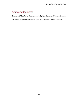## Acknowledgements

Enemies not Allies: The Far-Right was written by Adam Barnett and Maryam Namazie.

All website links were accessed on 28th July 2011 unless otherwise stated.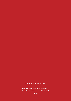Enemies not Allies: The Far-Right

Published by One Law for All, August 2011 © One Law for All 2011 – All rights reserved £8.50